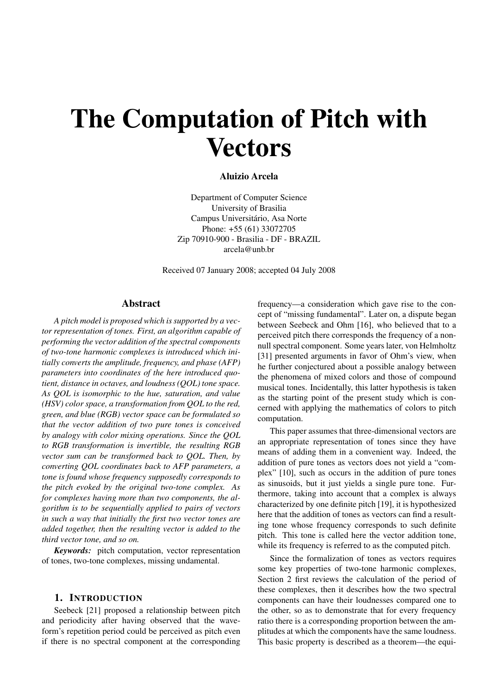# The Computation of Pitch with **Vectors**

## Aluizio Arcela

Department of Computer Science University of Brasilia Campus Universitário, Asa Norte Phone: +55 (61) 33072705 Zip 70910-900 - Brasilia - DF - BRAZIL arcela@unb.br

Received 07 January 2008; accepted 04 July 2008

## Abstract

*A pitch model is proposed which is supported by a vector representation of tones. First, an algorithm capable of performing the vector addition of the spectral components of two-tone harmonic complexes is introduced which initially converts the amplitude, frequency, and phase (AFP) parameters into coordinates of the here introduced quotient, distance in octaves, and loudness (QOL) tone space. As QOL is isomorphic to the hue, saturation, and value (HSV) color space, a transformation from QOL to the red, green, and blue (RGB) vector space can be formulated so that the vector addition of two pure tones is conceived by analogy with color mixing operations. Since the QOL to RGB transformation is invertible, the resulting RGB vector sum can be transformed back to QOL. Then, by converting QOL coordinates back to AFP parameters, a tone is found whose frequency supposedly corresponds to the pitch evoked by the original two-tone complex. As for complexes having more than two components, the algorithm is to be sequentially applied to pairs of vectors in such a way that initially the first two vector tones are added together, then the resulting vector is added to the third vector tone, and so on.*

*Keywords:* pitch computation, vector representation of tones, two-tone complexes, missing undamental.

## 1. INTRODUCTION

Seebeck [21] proposed a relationship between pitch and periodicity after having observed that the waveform's repetition period could be perceived as pitch even if there is no spectral component at the corresponding frequency—a consideration which gave rise to the concept of "missing fundamental". Later on, a dispute began between Seebeck and Ohm [16], who believed that to a perceived pitch there corresponds the frequency of a nonnull spectral component. Some years later, von Helmholtz [31] presented arguments in favor of Ohm's view, when he further conjectured about a possible analogy between the phenomena of mixed colors and those of compound musical tones. Incidentally, this latter hypothesis is taken as the starting point of the present study which is concerned with applying the mathematics of colors to pitch computation.

This paper assumes that three-dimensional vectors are an appropriate representation of tones since they have means of adding them in a convenient way. Indeed, the addition of pure tones as vectors does not yield a "complex" [10], such as occurs in the addition of pure tones as sinusoids, but it just yields a single pure tone. Furthermore, taking into account that a complex is always characterized by one definite pitch [19], it is hypothesized here that the addition of tones as vectors can find a resulting tone whose frequency corresponds to such definite pitch. This tone is called here the vector addition tone, while its frequency is referred to as the computed pitch.

Since the formalization of tones as vectors requires some key properties of two-tone harmonic complexes, Section 2 first reviews the calculation of the period of these complexes, then it describes how the two spectral components can have their loudnesses compared one to the other, so as to demonstrate that for every frequency ratio there is a corresponding proportion between the amplitudes at which the components have the same loudness. This basic property is described as a theorem—the equi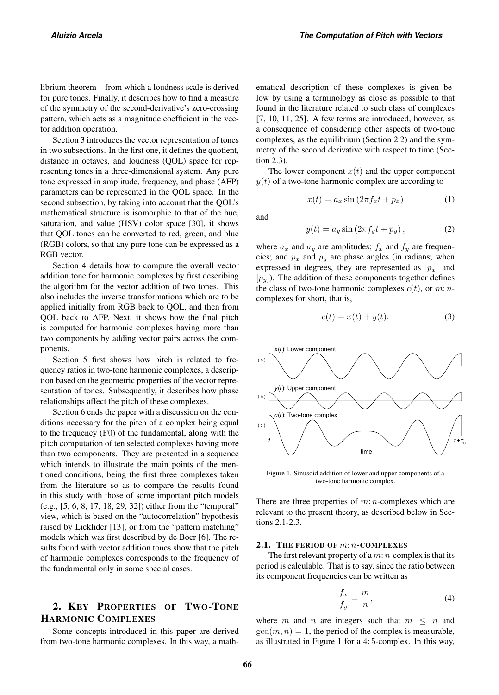librium theorem—from which a loudness scale is derived for pure tones. Finally, it describes how to find a measure of the symmetry of the second-derivative's zero-crossing pattern, which acts as a magnitude coefficient in the vector addition operation.

Section 3 introduces the vector representation of tones in two subsections. In the first one, it defines the quotient, distance in octaves, and loudness (QOL) space for representing tones in a three-dimensional system. Any pure tone expressed in amplitude, frequency, and phase (AFP) parameters can be represented in the QOL space. In the second subsection, by taking into account that the QOL's mathematical structure is isomorphic to that of the hue, saturation, and value (HSV) color space [30], it shows that QOL tones can be converted to red, green, and blue (RGB) colors, so that any pure tone can be expressed as a RGB vector.

Section 4 details how to compute the overall vector addition tone for harmonic complexes by first describing the algorithm for the vector addition of two tones. This also includes the inverse transformations which are to be applied initially from RGB back to QOL, and then from QOL back to AFP. Next, it shows how the final pitch is computed for harmonic complexes having more than two components by adding vector pairs across the components.

Section 5 first shows how pitch is related to frequency ratios in two-tone harmonic complexes, a description based on the geometric properties of the vector representation of tones. Subsequently, it describes how phase relationships affect the pitch of these complexes.

Section 6 ends the paper with a discussion on the conditions necessary for the pitch of a complex being equal to the frequency (F0) of the fundamental, along with the pitch computation of ten selected complexes having more than two components. They are presented in a sequence which intends to illustrate the main points of the mentioned conditions, being the first three complexes taken from the literature so as to compare the results found in this study with those of some important pitch models (e.g., [5, 6, 8, 17, 18, 29, 32]) either from the "temporal" view, which is based on the "autocorrelation" hypothesis raised by Licklider [13], or from the "pattern matching" models which was first described by de Boer [6]. The results found with vector addition tones show that the pitch of harmonic complexes corresponds to the frequency of the fundamental only in some special cases.

# 2. KEY PROPERTIES OF TWO-TONE HARMONIC COMPLEXES

Some concepts introduced in this paper are derived from two-tone harmonic complexes. In this way, a mathematical description of these complexes is given below by using a terminology as close as possible to that found in the literature related to such class of complexes  $[7, 10, 11, 25]$ . A few terms are introduced, however, as a consequence of considering other aspects of two-tone complexes, as the equilibrium (Section 2.2) and the symmetry of the second derivative with respect to time (Section 2.3).

The lower component  $x(t)$  and the upper component  $y(t)$  of a two-tone harmonic complex are according to

$$
x(t) = a_x \sin(2\pi f_x t + p_x)
$$
 (1)

and

$$
y(t) = a_y \sin(2\pi f_y t + p_y), \qquad (2)
$$

where  $a_x$  and  $a_y$  are amplitudes;  $f_x$  and  $f_y$  are frequencies; and  $p_x$  and  $p_y$  are phase angles (in radians; when expressed in degrees, they are represented as  $[p_x]$  and  $[p_y]$ ). The addition of these components together defines the class of two-tone harmonic complexes  $c(t)$ , or  $m: n$ complexes for short, that is,

$$
c(t) = x(t) + y(t). \tag{3}
$$



Figure 1. Sinusoid addition of lower and upper components of a two-tone harmonic complex.

There are three properties of  $m: n$ -complexes which are relevant to the present theory, as described below in Sections 2.1-2.3.

## 2.1. THE PERIOD OF  $m: n$ -COMPLEXES

The first relevant property of a  $m: n$ -complex is that its period is calculable. That is to say, since the ratio between its component frequencies can be written as

$$
\frac{f_x}{f_y} = \frac{m}{n},\tag{4}
$$

where m and n are integers such that  $m \leq n$  and  $gcd(m, n) = 1$ , the period of the complex is measurable, as illustrated in Figure 1 for a 4: 5-complex. In this way,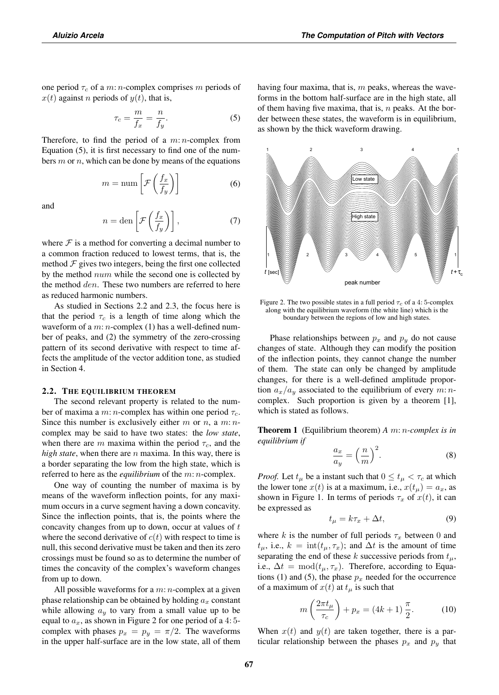one period  $\tau_c$  of a m: n-complex comprises m periods of  $x(t)$  against *n* periods of  $y(t)$ , that is,

$$
\tau_c = \frac{m}{f_x} = \frac{n}{f_y}.\tag{5}
$$

Therefore, to find the period of a  $m: n$ -complex from Equation (5), it is first necessary to find one of the numbers  $m$  or  $n$ , which can be done by means of the equations

$$
m = \text{num}\left[\mathcal{F}\left(\frac{f_x}{f_y}\right)\right] \tag{6}
$$

and

$$
n = \text{den}\left[\mathcal{F}\left(\frac{f_x}{f_y}\right)\right],\tag{7}
$$

where  $\mathcal F$  is a method for converting a decimal number to a common fraction reduced to lowest terms, that is, the method  $\mathcal F$  gives two integers, being the first one collected by the method num while the second one is collected by the method *den*. These two numbers are referred to here as reduced harmonic numbers.

As studied in Sections 2.2 and 2.3, the focus here is that the period  $\tau_c$  is a length of time along which the waveform of a  $m: n$ -complex (1) has a well-defined number of peaks, and (2) the symmetry of the zero-crossing pattern of its second derivative with respect to time affects the amplitude of the vector addition tone, as studied in Section 4.

#### 2.2. THE EQUILIBRIUM THEOREM

The second relevant property is related to the number of maxima a m: n-complex has within one period  $\tau_c$ . Since this number is exclusively either  $m$  or  $n$ , a  $m: n$ complex may be said to have two states: the *low state*, when there are m maxima within the period  $\tau_c$ , and the *high state*, when there are  $n$  maxima. In this way, there is a border separating the low from the high state, which is referred to here as the *equilibrium* of the m: n-complex.

One way of counting the number of maxima is by means of the waveform inflection points, for any maximum occurs in a curve segment having a down concavity. Since the inflection points, that is, the points where the concavity changes from up to down, occur at values of  $t$ where the second derivative of  $c(t)$  with respect to time is null, this second derivative must be taken and then its zero crossings must be found so as to determine the number of times the concavity of the complex's waveform changes from up to down.

All possible waveforms for a  $m: n$ -complex at a given phase relationship can be obtained by holding  $a_x$  constant while allowing  $a_y$  to vary from a small value up to be equal to  $a_x$ , as shown in Figure 2 for one period of a 4:5complex with phases  $p_x = p_y = \pi/2$ . The waveforms in the upper half-surface are in the low state, all of them having four maxima, that is,  $m$  peaks, whereas the waveforms in the bottom half-surface are in the high state, all of them having five maxima, that is,  $n$  peaks. At the border between these states, the waveform is in equilibrium, as shown by the thick waveform drawing.



Figure 2. The two possible states in a full period  $\tau_c$  of a 4: 5-complex along with the equilibrium waveform (the white line) which is the boundary between the regions of low and high states.

Phase relationships between  $p_x$  and  $p_y$  do not cause changes of state. Although they can modify the position of the inflection points, they cannot change the number of them. The state can only be changed by amplitude changes, for there is a well-defined amplitude proportion  $a_x/a_y$  associated to the equilibrium of every m: ncomplex. Such proportion is given by a theorem [1], which is stated as follows.

Theorem 1 (Equilibrium theorem) *A* m: n*-complex is in equilibrium if*

$$
\frac{a_x}{a_y} = \left(\frac{n}{m}\right)^2.
$$
 (8)

*Proof.* Let  $t_{\mu}$  be a instant such that  $0 \leq t_{\mu} < \tau_c$  at which the lower tone  $x(t)$  is at a maximum, i.e.,  $x(t_\mu) = a_x$ , as shown in Figure 1. In terms of periods  $\tau_x$  of  $x(t)$ , it can be expressed as

$$
t_{\mu} = k\tau_x + \Delta t,\tag{9}
$$

where k is the number of full periods  $\tau_x$  between 0 and  $t_{\mu}$ , i.e.,  $k = \text{int}(t_{\mu}, \tau_x)$ ; and  $\Delta t$  is the amount of time separating the end of these k successive periods from  $t_{\mu}$ , i.e.,  $\Delta t = \text{mod}(t_{\mu}, \tau_x)$ . Therefore, according to Equations (1) and (5), the phase  $p_x$  needed for the occurrence of a maximum of  $x(t)$  at  $t<sub>\mu</sub>$  is such that

$$
m\left(\frac{2\pi t_{\mu}}{\tau_c}\right) + p_x = (4k+1)\frac{\pi}{2}.
$$
 (10)

When  $x(t)$  and  $y(t)$  are taken together, there is a particular relationship between the phases  $p_x$  and  $p_y$  that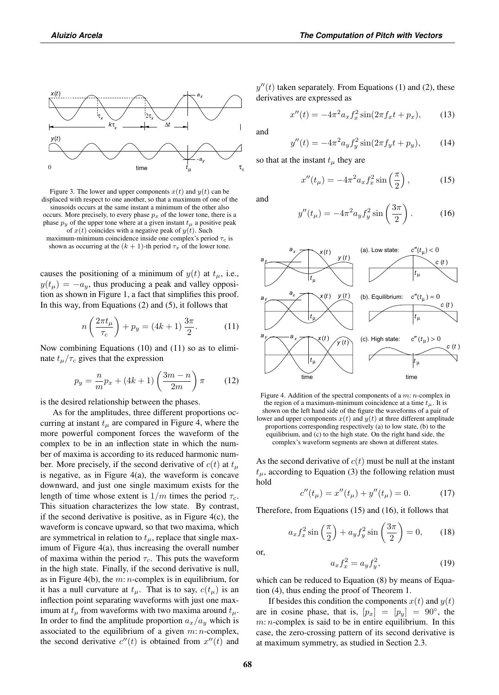



shown as occurring at the  $(k + 1)$ -th period  $\tau_x$  of the lower tone.

causes the positioning of a minimum of  $y(t)$  at  $t_{\mu}$ , i.e.,  $y(t_{\mu}) = -a_{\mu}$ , thus producing a peak and valley opposition as shown in Figure 1, a fact that simplifies this proof. In this way, from Equations (2) and (5), it follows that

$$
n\left(\frac{2\pi t_{\mu}}{\tau_c}\right) + p_y = (4k+1)\frac{3\pi}{2}.\tag{11}
$$

Now combining Equations (10) and (11) so as to eliminate  $t_{\mu}/\tau_c$  gives that the expression

$$
p_y = \frac{n}{m}p_x + (4k+1)\left(\frac{3m-n}{2m}\right)\pi
$$
 (12)

is the desired relationship between the phases.

As for the amplitudes, three different proportions occurring at instant  $t<sub>\mu</sub>$  are compared in Figure 4, where the more powerful component forces the waveform of the complex to be in an inflection state in which the number of maxima is according to its reduced harmonic number. More precisely, if the second derivative of  $c(t)$  at  $t_{\mu}$ is negative, as in Figure 4(a), the waveform is concave downward, and just one single maximum exists for the length of time whose extent is  $1/m$  times the period  $\tau_c$ . This situation characterizes the low state. By contrast, if the second derivative is positive, as in Figure  $4(c)$ , the waveform is concave upward, so that two maxima, which are symmetrical in relation to  $t_{\mu}$ , replace that single maximum of Figure 4(a), thus increasing the overall number of maxima within the period  $\tau_c$ . This puts the waveform in the high state. Finally, if the second derivative is null, as in Figure 4(b), the  $m: n$ -complex is in equilibrium, for it has a null curvature at  $t_{\mu}$ . That is to say,  $c(t_{\mu})$  is an inflection point separating waveforms with just one maximum at  $t_{\mu}$  from waveforms with two maxima around  $t_{\mu}$ . In order to find the amplitude proportion  $a_x/a_y$  which is associated to the equilibrium of a given  $m: n$ -complex, the second derivative  $c''(t)$  is obtained from  $x''(t)$  and

 $y''(t)$  taken separately. From Equations (1) and (2), these derivatives are expressed as

$$
x''(t) = -4\pi^2 a_x f_x^2 \sin(2\pi f_x t + p_x), \qquad (13)
$$

and

$$
y''(t) = -4\pi^2 a_y f_y^2 \sin(2\pi f_y t + p_y), \qquad (14)
$$

so that at the instant  $t<sub>u</sub>$  they are

$$
x''(t_{\mu}) = -4\pi^2 a_x f_x^2 \sin\left(\frac{\pi}{2}\right),\tag{15}
$$

and

$$
y''(t_{\mu}) = -4\pi^2 a_y f_y^2 \sin\left(\frac{3\pi}{2}\right). \tag{16}
$$



Figure 4. Addition of the spectral components of a  $m: n$ -complex in the region of a maximum-minimum coincidence at a time  $t_{\mu}$ . It is shown on the left hand side of the figure the waveforms of a pair of lower and upper components  $x(t)$  and  $y(t)$  at three different amplitude proportions corresponding respectively (a) to low state, (b) to the equilibrium, and (c) to the high state. On the right hand side, the complex's waveform segments are shown at different states.

As the second derivative of  $c(t)$  must be null at the instant  $t_{\mu}$ , according to Equation (3) the following relation must hold

$$
c''(t_{\mu}) = x''(t_{\mu}) + y''(t_{\mu}) = 0.
$$
 (17)

Therefore, from Equations (15) and (16), it follows that

$$
a_x f_x^2 \sin\left(\frac{\pi}{2}\right) + a_y f_y^2 \sin\left(\frac{3\pi}{2}\right) = 0,\qquad(18)
$$

or,

$$
a_x f_x^2 = a_y f_y^2,\tag{19}
$$

which can be reduced to Equation (8) by means of Equation (4), thus ending the proof of Theorem 1.

If besides this condition the components  $x(t)$  and  $y(t)$ are in cosine phase, that is,  $[p_x] = [p_y] = 90^\circ$ , the  $m: n$ -complex is said to be in entire equilibrium. In this case, the zero-crossing pattern of its second derivative is at maximum symmetry, as studied in Section 2.3.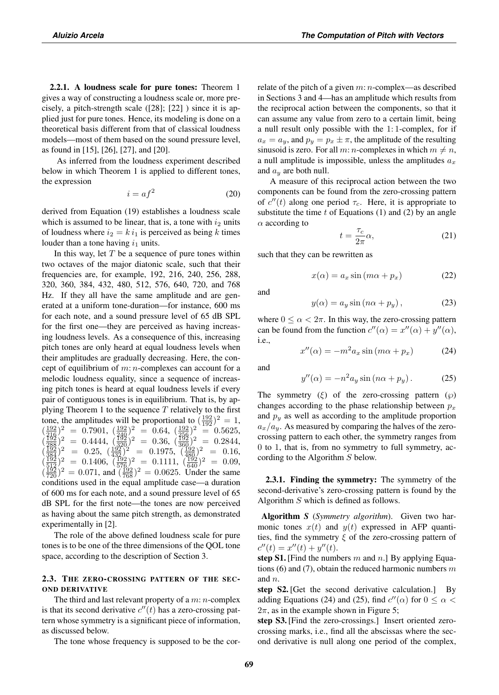2.2.1. A loudness scale for pure tones: Theorem 1 gives a way of constructing a loudness scale or, more precisely, a pitch-strength scale ([28]; [22] ) since it is applied just for pure tones. Hence, its modeling is done on a theoretical basis different from that of classical loudness models—most of them based on the sound pressure level, as found in [15], [26], [27], and [20].

As inferred from the loudness experiment described below in which Theorem 1 is applied to different tones, the expression

$$
i = af^2 \tag{20}
$$

derived from Equation (19) establishes a loudness scale which is assumed to be linear, that is, a tone with  $i_2$  units of loudness where  $i_2 = k i_1$  is perceived as being k times louder than a tone having  $i_1$  units.

In this way, let  $T$  be a sequence of pure tones within two octaves of the major diatonic scale, such that their frequencies are, for example, 192, 216, 240, 256, 288, 320, 360, 384, 432, 480, 512, 576, 640, 720, and 768 Hz. If they all have the same amplitude and are generated at a uniform tone-duration—for instance, 600 ms for each note, and a sound pressure level of 65 dB SPL for the first one—they are perceived as having increasing loudness levels. As a consequence of this, increasing pitch tones are only heard at equal loudness levels when their amplitudes are gradually decreasing. Here, the concept of equilibrium of  $m: n$ -complexes can account for a melodic loudness equality, since a sequence of increasing pitch tones is heard at equal loudness levels if every pair of contiguous tones is in equilibrium. That is, by applying Theorem 1 to the sequence  $T$  relatively to the first tone, the amplitudes will be proportional to  $(\frac{192}{192})^2 = 1$ ,  $(\frac{192}{746})^2$  = 0.7901,  $(\frac{192}{740})^2$  = 0.64,  $(\frac{192}{756})^2$  = 0.5625,  $(\frac{192}{288})^2$  = 0.4444,  $(\frac{192}{320})^2$  = 0.36,  $(\frac{192}{360})^2$  = 0.2844,  $(\frac{192}{384})^2$  = 0.25,  $(\frac{192}{432})^2$  = 0.1975,  $(\frac{192}{480})^2$  = 0.16,  $(\frac{192}{512})^2$  = 0.1406,  $(\frac{192}{576})^2$  = 0.1111,  $(\frac{192}{640})^2$  = 0.09,  $(\frac{192}{720})^2 = 0.071$ , and  $(\frac{192}{768})^2 = 0.0625$ . Under the same conditions used in the equal amplitude case—a duration of 600 ms for each note, and a sound pressure level of 65 dB SPL for the first note—the tones are now perceived as having about the same pitch strength, as demonstrated experimentally in [2].

The role of the above defined loudness scale for pure tones is to be one of the three dimensions of the QOL tone space, according to the description of Section 3.

## 2.3. THE ZERO-CROSSING PATTERN OF THE SEC-OND DERIVATIVE

The third and last relevant property of a  $m: n$ -complex is that its second derivative  $c''(t)$  has a zero-crossing pattern whose symmetry is a significant piece of information, as discussed below.

The tone whose frequency is supposed to be the cor-

relate of the pitch of a given  $m: n$ -complex—as described in Sections 3 and 4—has an amplitude which results from the reciprocal action between the components, so that it can assume any value from zero to a certain limit, being a null result only possible with the 1: 1-complex, for if  $a_x = a_y$ , and  $p_y = p_x \pm \pi$ , the amplitude of the resulting sinusoid is zero. For all m: *n*-complexes in which  $m \neq n$ , a null amplitude is impossible, unless the amplitudes  $a_x$ and  $a_y$  are both null.

A measure of this reciprocal action between the two components can be found from the zero-crossing pattern of  $c''(t)$  along one period  $\tau_c$ . Here, it is appropriate to substitute the time  $t$  of Equations (1) and (2) by an angle  $\alpha$  according to

$$
t = \frac{\tau_c}{2\pi} \alpha,\tag{21}
$$

such that they can be rewritten as

$$
x(\alpha) = a_x \sin(m\alpha + p_x) \tag{22}
$$

and

$$
y(\alpha) = a_y \sin(n\alpha + p_y), \qquad (23)
$$

where  $0 \le \alpha < 2\pi$ . In this way, the zero-crossing pattern can be found from the function  $c''(\alpha) = x''(\alpha) + y''(\alpha)$ , i.e.,

$$
x''(\alpha) = -m^2 a_x \sin(m\alpha + p_x) \tag{24}
$$

and

$$
y''(\alpha) = -n^2 a_y \sin(n\alpha + p_y).
$$
 (25)

The symmetry  $(\xi)$  of the zero-crossing pattern  $(\wp)$ changes according to the phase relationship between  $p_x$ and  $p_y$  as well as according to the amplitude proportion  $a_x/a_y$ . As measured by comparing the halves of the zerocrossing pattern to each other, the symmetry ranges from 0 to 1, that is, from no symmetry to full symmetry, according to the Algorithm S below.

2.3.1. Finding the symmetry: The symmetry of the second-derivative's zero-crossing pattern is found by the Algorithm  $S$  which is defined as follows.

Algorithm *S* (*Symmetry algorithm*). Given two harmonic tones  $x(t)$  and  $y(t)$  expressed in AFP quantities, find the symmetry  $\xi$  of the zero-crossing pattern of  $c''(t) = x''(t) + y''(t).$ 

step S1. [Find the numbers m and n.] By applying Equations (6) and (7), obtain the reduced harmonic numbers  $m$ and  $n$ .

step S2. [Get the second derivative calculation.] By adding Equations (24) and (25), find  $c''(\alpha)$  for  $0 \leq \alpha <$  $2\pi$ , as in the example shown in Figure 5;

step S3. [Find the zero-crossings.] Insert oriented zerocrossing marks, i.e., find all the abscissas where the second derivative is null along one period of the complex,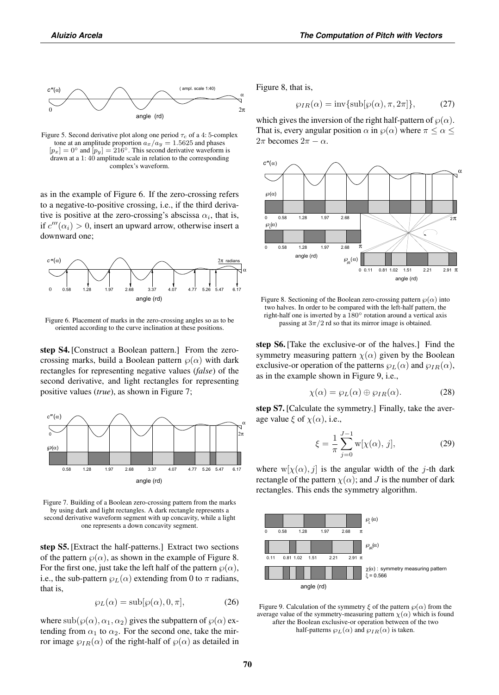

Figure 5. Second derivative plot along one period  $\tau_c$  of a 4: 5-complex tone at an amplitude proportion  $a_x/a_y = 1.5625$  and phases  $[p_x]=0$ ° and  $[p_y]=216$ °. This second derivative waveform is drawn at a 1: 40 amplitude scale in relation to the corresponding complex's waveform.

as in the example of Figure 6. If the zero-crossing refers to a negative-to-positive crossing, i.e., if the third derivative is positive at the zero-crossing's abscissa  $\alpha_i$ , that is, if  $c'''(\alpha_i) > 0$ , insert an upward arrow, otherwise insert a downward one;



Figure 6. Placement of marks in the zero-crossing angles so as to be oriented according to the curve inclination at these positions.

step S4. [Construct a Boolean pattern.] From the zerocrossing marks, build a Boolean pattern  $\varphi(\alpha)$  with dark rectangles for representing negative values (*false*) of the second derivative, and light rectangles for representing positive values (*true*), as shown in Figure 7;



Figure 7. Building of a Boolean zero-crossing pattern from the marks by using dark and light rectangles. A dark rectangle represents a second derivative waveform segment with up concavity, while a light one represents a down concavity segment.

step S5. [Extract the half-patterns.] Extract two sections of the pattern  $\wp(\alpha)$ , as shown in the example of Figure 8. For the first one, just take the left half of the pattern  $\wp(\alpha)$ , i.e., the sub-pattern  $\varphi_L(\alpha)$  extending from 0 to  $\pi$  radians, that is,

$$
\wp_L(\alpha) = \mathrm{sub}[\wp(\alpha), 0, \pi],\tag{26}
$$

where  $\text{sub}(\wp(\alpha), \alpha_1, \alpha_2)$  gives the subpattern of  $\wp(\alpha)$  extending from  $\alpha_1$  to  $\alpha_2$ . For the second one, take the mirror image  $\wp_{IR}(\alpha)$  of the right-half of  $\wp(\alpha)$  as detailed in Figure 8, that is,

$$
\wp_{IR}(\alpha) = \text{inv}\{\text{sub}[\wp(\alpha), \pi, 2\pi]\},\tag{27}
$$

which gives the inversion of the right half-pattern of  $\wp(\alpha)$ . That is, every angular position  $\alpha$  in  $\wp(\alpha)$  where  $\pi \leq \alpha \leq$  $2\pi$  becomes  $2\pi - \alpha$ .



Figure 8. Sectioning of the Boolean zero-crossing pattern  $\wp(\alpha)$  into two halves. In order to be compared with the left-half pattern, the right-half one is inverted by a  $180^\circ$  rotation around a vertical axis passing at  $3\pi/2$  rd so that its mirror image is obtained.

step S6. [Take the exclusive-or of the halves.] Find the symmetry measuring pattern  $\chi(\alpha)$  given by the Boolean exclusive-or operation of the patterns  $\wp_L(\alpha)$  and  $\wp_{IR}(\alpha)$ , as in the example shown in Figure 9, i.e.,

$$
\chi(\alpha) = \wp_L(\alpha) \oplus \wp_{IR}(\alpha). \tag{28}
$$

step S7. [Calculate the symmetry.] Finally, take the average value  $\xi$  of  $\chi(\alpha)$ , i.e.,

$$
\xi = \frac{1}{\pi} \sum_{j=0}^{J-1} \mathbf{w}[\chi(\alpha), j],
$$
 (29)

where  $w[\chi(\alpha), j]$  is the angular width of the j-th dark rectangle of the pattern  $\chi(\alpha)$ ; and J is the number of dark rectangles. This ends the symmetry algorithm.



Figure 9. Calculation of the symmetry  $\xi$  of the pattern  $\varphi(\alpha)$  from the average value of the symmetry-measuring pattern  $\chi(\alpha)$  which is found after the Boolean exclusive-or operation between of the two half-patterns  $\wp_L(\alpha)$  and  $\wp_{IR}(\alpha)$  is taken.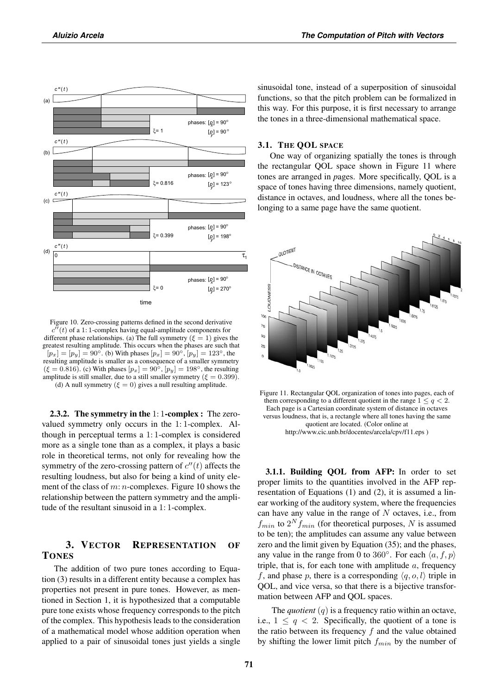

Figure 10. Zero-crossing patterns defined in the second derivative  $c''(t)$  of a 1: 1-complex having equal-amplitude components for different phase relationships. (a) The full symmetry  $(\xi = 1)$  gives the greatest resulting amplitude. This occurs when the phases are such that  $[p_x]=[p_y] = 90°$ . (b) With phases  $[p_x] = 90°$ ,  $[p_y] = 123°$ , the resulting amplitude is smaller as a consequence of a smaller symmetry  $(\xi = 0.816)$ . (c) With phases  $[p_x] = 90^\circ$ ,  $[p_y] = 198^\circ$ , the resulting amplitude is still smaller, due to a still smaller symmetry ( $\xi = 0.399$ ). (d) A null symmetry  $(\xi = 0)$  gives a null resulting amplitude.

2.3.2. The symmetry in the 1: 1-complex : The zerovalued symmetry only occurs in the 1: 1-complex. Although in perceptual terms a 1: 1-complex is considered more as a single tone than as a complex, it plays a basic role in theoretical terms, not only for revealing how the symmetry of the zero-crossing pattern of  $c''(t)$  affects the resulting loudness, but also for being a kind of unity element of the class of  $m: n$ -complexes. Figure 10 shows the relationship between the pattern symmetry and the amplitude of the resultant sinusoid in a 1: 1-complex.

# 3. VECTOR REPRESENTATION OF **TONES**

The addition of two pure tones according to Equation (3) results in a different entity because a complex has properties not present in pure tones. However, as mentioned in Section 1, it is hypothesized that a computable pure tone exists whose frequency corresponds to the pitch of the complex. This hypothesis leads to the consideration of a mathematical model whose addition operation when applied to a pair of sinusoidal tones just yields a single sinusoidal tone, instead of a superposition of sinusoidal functions, so that the pitch problem can be formalized in this way. For this purpose, it is first necessary to arrange the tones in a three-dimensional mathematical space.

#### 3.1. THE QOL SPACE

One way of organizing spatially the tones is through the rectangular QOL space shown in Figure 11 where tones are arranged in *p*ages. More specifically, QOL is a space of tones having three dimensions, namely quotient, distance in octaves, and loudness, where all the tones belonging to a same page have the same quotient.



Figure 11. Rectangular QOL organization of tones into pages, each of them corresponding to a different quotient in the range  $1 \leq q \leq 2$ . Each page is a Cartesian coordinate system of distance in octaves versus loudness, that is, a rectangle where all tones having the same quotient are located. (Color online at http://www.cic.unb.br/docentes/arcela/cpv/f11.eps )

3.1.1. Building QOL from AFP: In order to set proper limits to the quantities involved in the AFP representation of Equations (1) and (2), it is assumed a linear working of the auditory system, where the frequencies can have any value in the range of  $N$  octaves, i.e., from  $f_{min}$  to  $2^N f_{min}$  (for theoretical purposes, N is assumed to be ten); the amplitudes can assume any value between zero and the limit given by Equation (35); and the phases, any value in the range from 0 to 360°. For each  $\langle a, f, p \rangle$ triple, that is, for each tone with amplitude  $a$ , frequency f, and phase p, there is a corresponding  $\langle q, o, l \rangle$  triple in QOL, and vice versa, so that there is a bijective transformation between AFP and QOL spaces.

The *quotient* (q) is a frequency ratio within an octave, i.e.,  $1 \leq q < 2$ . Specifically, the quotient of a tone is the ratio between its frequency  $f$  and the value obtained by shifting the lower limit pitch  $f_{min}$  by the number of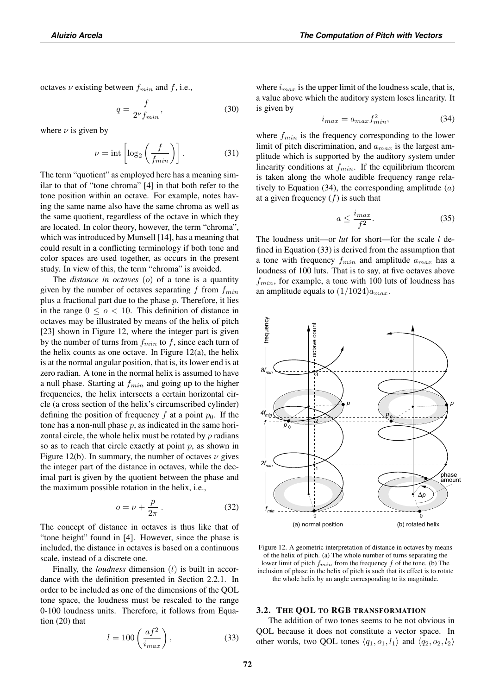octaves  $\nu$  existing between  $f_{min}$  and f, i.e.,

$$
q = \frac{f}{2^{\nu} f_{min}},\tag{30}
$$

where  $\nu$  is given by

$$
\nu = \text{int}\left[\log_2\left(\frac{f}{f_{min}}\right)\right].\tag{31}
$$

The term "quotient" as employed here has a meaning similar to that of "tone chroma" [4] in that both refer to the tone position within an octave. For example, notes having the same name also have the same chroma as well as the same quotient, regardless of the octave in which they are located. In color theory, however, the term "chroma", which was introduced by Munsell [14], has a meaning that could result in a conflicting terminology if both tone and color spaces are used together, as occurs in the present study. In view of this, the term "chroma" is avoided.

The *distance in octaves* (o) of a tone is a quantity given by the number of octaves separating  $f$  from  $f_{min}$ plus a fractional part due to the phase  $p$ . Therefore, it lies in the range  $0 \leq o < 10$ . This definition of distance in octaves may be illustrated by means of the helix of pitch [23] shown in Figure 12, where the integer part is given by the number of turns from  $f_{min}$  to f, since each turn of the helix counts as one octave. In Figure  $12(a)$ , the helix is at the normal angular position, that is, its lower end is at zero radian. A tone in the normal helix is assumed to have a null phase. Starting at  $f_{min}$  and going up to the higher frequencies, the helix intersects a certain horizontal circle (a cross section of the helix's circumscribed cylinder) defining the position of frequency f at a point  $p_0$ . If the tone has a non-null phase  $p$ , as indicated in the same horizontal circle, the whole helix must be rotated by p radians so as to reach that circle exactly at point  $p$ , as shown in Figure 12(b). In summary, the number of octaves  $\nu$  gives the integer part of the distance in octaves, while the decimal part is given by the quotient between the phase and the maximum possible rotation in the helix, i.e.,

$$
o = \nu + \frac{p}{2\pi} \,. \tag{32}
$$

The concept of distance in octaves is thus like that of "tone height" found in [4]. However, since the phase is included, the distance in octaves is based on a continuous scale, instead of a discrete one.

Finally, the *loudness* dimension (l) is built in accordance with the definition presented in Section 2.2.1. In order to be included as one of the dimensions of the QOL tone space, the loudness must be rescaled to the range 0-100 loudness units. Therefore, it follows from Equation (20) that

$$
l = 100 \left( \frac{af^2}{i_{max}} \right),\tag{33}
$$

where  $i_{max}$  is the upper limit of the loudness scale, that is, a value above which the auditory system loses linearity. It is given by

$$
i_{max} = a_{max} f_{min}^2,\tag{34}
$$

where  $f_{min}$  is the frequency corresponding to the lower limit of pitch discrimination, and  $a_{max}$  is the largest amplitude which is supported by the auditory system under linearity conditions at  $f_{min}$ . If the equilibrium theorem is taken along the whole audible frequency range relatively to Equation  $(34)$ , the corresponding amplitude  $(a)$ at a given frequency  $(f)$  is such that

$$
a \le \frac{i_{max}}{f^2}.\tag{35}
$$

The loudness unit—or *lut* for short—for the scale *l* defined in Equation (33) is derived from the assumption that a tone with frequency  $f_{min}$  and amplitude  $a_{max}$  has a loudness of 100 luts. That is to say, at five octaves above  $f_{min}$ , for example, a tone with 100 luts of loudness has an amplitude equals to  $(1/1024)a_{max}$ .



Figure 12. A geometric interpretation of distance in octaves by means of the helix of pitch. (a) The whole number of turns separating the lower limit of pitch  $f_{min}$  from the frequency f of the tone. (b) The inclusion of phase in the helix of pitch is such that its effect is to rotate the whole helix by an angle corresponding to its magnitude.

#### 3.2. THE QOL TO RGB TRANSFORMATION

The addition of two tones seems to be not obvious in QOL because it does not constitute a vector space. In other words, two QOL tones  $\langle q_1, o_1, l_1 \rangle$  and  $\langle q_2, o_2, l_2 \rangle$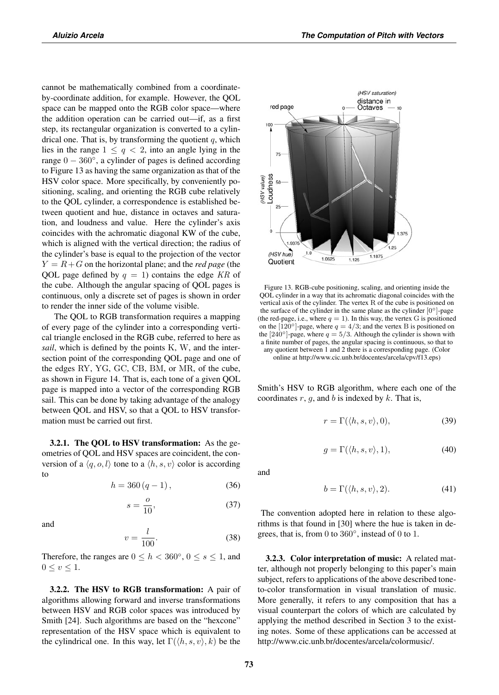cannot be mathematically combined from a coordinateby-coordinate addition, for example. However, the QOL space can be mapped onto the RGB color space—where the addition operation can be carried out—if, as a first step, its rectangular organization is converted to a cylindrical one. That is, by transforming the quotient  $q$ , which lies in the range  $1 \leq q \leq 2$ , into an angle lying in the range  $0 - 360^\circ$ , a cylinder of pages is defined according to Figure 13 as having the same organization as that of the HSV color space. More specifically, by conveniently positioning, scaling, and orienting the RGB cube relatively to the QOL cylinder, a correspondence is established between quotient and hue, distance in octaves and saturation, and loudness and value. Here the cylinder's axis coincides with the achromatic diagonal KW of the cube, which is aligned with the vertical direction; the radius of the cylinder's base is equal to the projection of the vector  $Y = R + G$  on the horizontal plane; and the *red page* (the QOL page defined by  $q = 1$ ) contains the edge KR of the cube. Although the angular spacing of QOL pages is continuous, only a discrete set of pages is shown in order to render the inner side of the volume visible.

The QOL to RGB transformation requires a mapping of every page of the cylinder into a corresponding vertical triangle enclosed in the RGB cube, referred to here as *sail*, which is defined by the points K, W, and the intersection point of the corresponding QOL page and one of the edges RY, YG, GC, CB, BM, or MR, of the cube, as shown in Figure 14. That is, each tone of a given QOL page is mapped into a vector of the corresponding RGB sail. This can be done by taking advantage of the analogy between QOL and HSV, so that a QOL to HSV transformation must be carried out first.

3.2.1. The QOL to HSV transformation: As the geometries of QOL and HSV spaces are coincident, the conversion of a  $\langle q, o, l \rangle$  tone to a  $\langle h, s, v \rangle$  color is according to

$$
h = 360 (q - 1), \t(36)
$$

$$
s = \frac{o}{10},\tag{37}
$$

and

$$
v = \frac{l}{100}.\tag{38}
$$

Therefore, the ranges are  $0 \le h < 360^{\circ}$ ,  $0 \le s \le 1$ , and  $0 \leq v \leq 1$ .

3.2.2. The HSV to RGB transformation: A pair of algorithms allowing forward and inverse transformations between HSV and RGB color spaces was introduced by Smith [24]. Such algorithms are based on the "hexcone" representation of the HSV space which is equivalent to the cylindrical one. In this way, let  $\Gamma(\langle h, s, v \rangle, k)$  be the



Figure 13. RGB-cube positioning, scaling, and orienting inside the QOL cylinder in a way that its achromatic diagonal coincides with the vertical axis of the cylinder. The vertex R of the cube is positioned on the surface of the cylinder in the same plane as the cylinder  $[0^\circ]$ -page (the red-page, i.e., where  $q = 1$ ). In this way, the vertex G is positioned on the  $[120^\circ]$ -page, where  $q = 4/3$ ; and the vertex B is positioned on the [240°]-page, where  $q = 5/3$ . Although the cylinder is shown with a finite number of pages, the angular spacing is continuous, so that to any quotient between 1 and 2 there is a corresponding page. (Color online at http://www.cic.unb.br/docentes/arcela/cpv/f13.eps)

Smith's HSV to RGB algorithm, where each one of the coordinates  $r$ ,  $g$ , and  $b$  is indexed by  $k$ . That is,

$$
r = \Gamma(\langle h, s, v \rangle, 0), \tag{39}
$$

$$
g = \Gamma(\langle h, s, v \rangle, 1), \tag{40}
$$

and

$$
b = \Gamma(\langle h, s, v \rangle, 2). \tag{41}
$$

The convention adopted here in relation to these algorithms is that found in [30] where the hue is taken in degrees, that is, from 0 to  $360^\circ$ , instead of 0 to 1.

3.2.3. Color interpretation of music: A related matter, although not properly belonging to this paper's main subject, refers to applications of the above described toneto-color transformation in visual translation of music. More generally, it refers to any composition that has a visual counterpart the colors of which are calculated by applying the method described in Section 3 to the existing notes. Some of these applications can be accessed at http://www.cic.unb.br/docentes/arcela/colormusic/.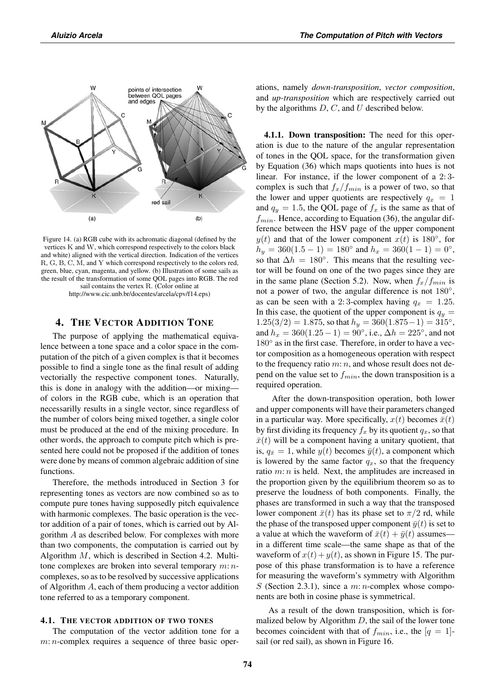

Figure 14. (a) RGB cube with its achromatic diagonal (defined by the vertices K and W, which correspond respectively to the colors black and white) aligned with the vertical direction. Indication of the vertices R, G, B, C, M, and Y which correspond respectively to the colors red, green, blue, cyan, magenta, and yellow. (b) Illustration of some sails as the result of the transformation of some QOL pages into RGB. The red sail contains the vertex R. (Color online at http://www.cic.unb.br/docentes/arcela/cpv/f14.eps)

# 4. THE VECTOR ADDITION TONE

The purpose of applying the mathematical equivalence between a tone space and a color space in the computation of the pitch of a given complex is that it becomes possible to find a single tone as the final result of adding vectorially the respective component tones. Naturally, this is done in analogy with the addition—or mixing of colors in the RGB cube, which is an operation that necessarilly results in a single vector, since regardless of the number of colors being mixed together, a single color must be produced at the end of the mixing procedure. In other words, the approach to compute pitch which is presented here could not be proposed if the addition of tones were done by means of common algebraic addition of sine functions.

Therefore, the methods introduced in Section 3 for representing tones as vectors are now combined so as to compute pure tones having supposedly pitch equivalence with harmonic complexes. The basic operation is the vector addition of a pair of tones, which is carried out by Algorithm A as described below. For complexes with more than two components, the computation is carried out by Algorithm M, which is described in Section 4.2. Multitone complexes are broken into several temporary  $m: n$ complexes, so as to be resolved by successive applications of Algorithm A, each of them producing a vector addition tone referred to as a temporary component.

## 4.1. THE VECTOR ADDITION OF TWO TONES

The computation of the vector addition tone for a m: *n*-complex requires a sequence of three basic operations, namely *down-transposition*, *vector composition*, and *up-transposition* which are respectively carried out by the algorithms  $D, C$ , and  $U$  described below.

4.1.1. Down transposition: The need for this operation is due to the nature of the angular representation of tones in the QOL space, for the transformation given by Equation (36) which maps quotients into hues is not linear. For instance, if the lower component of a 2: 3 complex is such that  $f_x/f_{min}$  is a power of two, so that the lower and upper quotients are respectively  $q_x = 1$ and  $q_y = 1.5$ , the QOL page of  $f_x$  is the same as that of  $f_{min}$ . Hence, according to Equation (36), the angular difference between the HSV page of the upper component  $y(t)$  and that of the lower component  $x(t)$  is 180 $\degree$ , for  $h_y = 360(1.5 - 1) = 180^\circ$  and  $h_x = 360(1 - 1) = 0^\circ$ , so that  $\Delta h = 180^\circ$ . This means that the resulting vector will be found on one of the two pages since they are in the same plane (Section 5.2). Now, when  $f_x/f_{min}$  is not a power of two, the angular difference is not 180◦, as can be seen with a 2:3-complex having  $q_x = 1.25$ . In this case, the quotient of the upper component is  $q_y =$  $1.25(3/2) = 1.875$ , so that  $h_y = 360(1.875-1) = 315^\circ$ , and  $h_x = 360(1.25 - 1) = 90^\circ$ , i.e.,  $\Delta h = 225^\circ$ , and not 180 $\degree$  as in the first case. Therefore, in order to have a vector composition as a homogeneous operation with respect to the frequency ratio  $m: n$ , and whose result does not depend on the value set to  $f_{min}$ , the down transposition is a required operation.

After the down-transposition operation, both lower and upper components will have their parameters changed in a particular way. More specifically,  $x(t)$  becomes  $\bar{x}(t)$ by first dividing its frequency  $f_x$  by its quotient  $q_x$ , so that  $\bar{x}(t)$  will be a component having a unitary quotient, that is,  $q_{\bar{x}} = 1$ , while  $y(t)$  becomes  $\bar{y}(t)$ , a component which is lowered by the same factor  $q_x$ , so that the frequency ratio  $m: n$  is held. Next, the amplitudes are increased in the proportion given by the equilibrium theorem so as to preserve the loudness of both components. Finally, the phases are transformed in such a way that the transposed lower component  $\bar{x}(t)$  has its phase set to  $\pi/2$  rd, while the phase of the transposed upper component  $\bar{y}(t)$  is set to a value at which the waveform of  $\bar{x}(t)+\bar{y}(t)$  assumes in a different time scale—the same shape as that of the waveform of  $x(t) + y(t)$ , as shown in Figure 15. The purpose of this phase transformation is to have a reference for measuring the waveform's symmetry with Algorithm S (Section 2.3.1), since a  $m: n$ -complex whose components are both in cosine phase is symmetrical.

As a result of the down transposition, which is formalized below by Algorithm  $D$ , the sail of the lower tone becomes coincident with that of  $f_{min}$ , i.e., the  $|q = 1|$ sail (or red sail), as shown in Figure 16.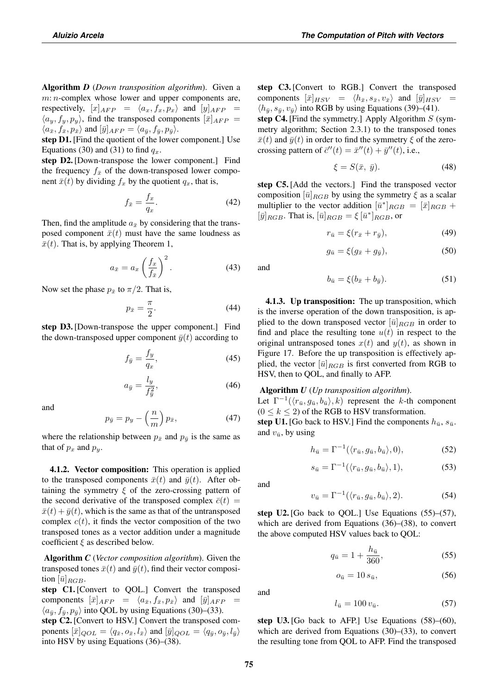Algorithm *D* (*Down transposition algorithm*). Given a  $m: n$ -complex whose lower and upper components are, respectively,  $[x]_{AFP} = \langle a_x, f_x, p_x \rangle$  and  $[y]_{AFP} =$  $\langle a_u, f_u, p_u \rangle$ , find the transposed components  $[\bar{x}]_{AFP} =$  $\langle a_{\bar{x}}, f_{\bar{x}}, p_{\bar{x}} \rangle$  and  $[\bar{y}]_{AFP} = \langle a_{\bar{y}}, f_{\bar{y}}, p_{\bar{y}} \rangle$ .

step D1. [Find the quotient of the lower component.] Use Equations (30) and (31) to find  $q_x$ .

step D2. [Down-transpose the lower component.] Find the frequency  $f_{\bar{x}}$  of the down-transposed lower component  $\bar{x}(t)$  by dividing  $f_x$  by the quotient  $q_x$ , that is,

$$
f_{\bar{x}} = \frac{f_x}{q_x}.\tag{42}
$$

Then, find the amplitude  $a_{\bar{x}}$  by considering that the transposed component  $\bar{x}(t)$  must have the same loudness as  $\bar{x}(t)$ . That is, by applying Theorem 1,

$$
a_{\bar{x}} = a_x \left(\frac{f_x}{f_{\bar{x}}}\right)^2.
$$
 (43)

Now set the phase  $p_{\bar{x}}$  to  $\pi/2$ . That is,

$$
p_{\bar{x}} = \frac{\pi}{2}.\tag{44}
$$

step D3. [Down-transpose the upper component.] Find the down-transposed upper component  $\bar{y}(t)$  according to

$$
f_{\bar{y}} = \frac{f_y}{q_x},\tag{45}
$$

$$
a_{\bar{y}} = \frac{l_y}{f_{\bar{y}}^2},\tag{46}
$$

and

$$
p_{\bar{y}} = p_y - \left(\frac{n}{m}\right) p_{\bar{x}},\tag{47}
$$

where the relationship between  $p_{\bar{x}}$  and  $p_{\bar{y}}$  is the same as that of  $p_x$  and  $p_y$ .

4.1.2. Vector composition: This operation is applied to the transposed components  $\bar{x}(t)$  and  $\bar{y}(t)$ . After obtaining the symmetry  $\xi$  of the zero-crossing pattern of the second derivative of the transposed complex  $\bar{c}(t)$  =  $\bar{x}(t)+\bar{y}(t)$ , which is the same as that of the untransposed complex  $c(t)$ , it finds the vector composition of the two transposed tones as a vector addition under a magnitude coefficient  $\xi$  as described below.

Algorithm *C* (*Vector composition algorithm*). Given the transposed tones  $\bar{x}(t)$  and  $\bar{y}(t)$ , find their vector composition  $[\bar{u}]_{RGB}$ .

step C1. [Convert to QOL.] Convert the transposed components  $[\bar{x}]_{AFP} = \langle a_{\bar{x}}, f_{\bar{x}}, p_{\bar{x}} \rangle$  and  $[\bar{y}]_{AFP}$  $\langle a_{\bar{y}}, f_{\bar{y}}, p_{\bar{y}} \rangle$  into QOL by using Equations (30)–(33).

step C2. [Convert to HSV.] Convert the transposed components  $[\bar{x}]_{QOL} = \langle q_{\bar{x}}, o_{\bar{x}}, l_{\bar{x}} \rangle$  and  $[\bar{y}]_{QOL} = \langle q_{\bar{y}}, o_{\bar{y}}, l_{\bar{y}} \rangle$ into HSV by using Equations (36)–(38).

step C3. [Convert to RGB.] Convert the transposed components  $[\bar{x}]_{HSV} = \langle h_{\bar{x}}, s_{\bar{x}}, v_{\bar{x}} \rangle$  and  $[\bar{y}]_{HSV}$  =  $\langle h_{\bar{y}}, s_{\bar{y}}, v_{\bar{y}} \rangle$  into RGB by using Equations (39)–(41).

step C4. [Find the symmetry.] Apply Algorithm  $S$  (symmetry algorithm; Section 2.3.1) to the transposed tones  $\bar{x}(t)$  and  $\bar{y}(t)$  in order to find the symmetry  $\xi$  of the zerocrossing pattern of  $\bar{c}''(t) = \bar{x}''(t) + \bar{y}''(t)$ , i.e.,

$$
\xi = S(\bar{x}, \bar{y}).\tag{48}
$$

step C5. [Add the vectors.] Find the transposed vector composition  $[\bar{u}]_{RGB}$  by using the symmetry  $\xi$  as a scalar multiplier to the vector addition  $[\bar{u}^*]_{RGB} = [\bar{x}]_{RGB} +$  $[\bar{y}]_{RGB}$ . That is,  $[\bar{u}]_{RGB} = \xi [\bar{u}^*]_{RGB}$ , or

$$
r_{\bar{u}} = \xi(r_{\bar{x}} + r_{\bar{y}}),\tag{49}
$$

$$
g_{\bar{u}} = \xi (g_{\bar{x}} + g_{\bar{y}}), \tag{50}
$$

and

$$
b_{\bar{u}} = \xi(b_{\bar{x}} + b_{\bar{y}}). \tag{51}
$$

4.1.3. Up transposition: The up transposition, which is the inverse operation of the down transposition, is applied to the down transposed vector  $[\bar{u}]_{RGB}$  in order to find and place the resulting tone  $u(t)$  in respect to the original untransposed tones  $x(t)$  and  $y(t)$ , as shown in Figure 17. Before the up transposition is effectively applied, the vector  $[\bar{u}]_{RGB}$  is first converted from RGB to HSV, then to QOL, and finally to AFP.

# Algorithm *U* (*Up transposition algorithm*).

Let  $\Gamma^{-1}(\langle r_{\bar{u}}, g_{\bar{u}}, b_{\bar{u}} \rangle, k)$  represent the k-th component  $(0 \leq k \leq 2)$  of the RGB to HSV transformation.

step U1. [Go back to HSV.] Find the components  $h_{\bar{u}}, s_{\bar{u}}$ . and  $v_{\bar{u}}$ , by using

$$
h_{\bar{u}} = \Gamma^{-1}(\langle r_{\bar{u}}, g_{\bar{u}}, b_{\bar{u}} \rangle, 0), \tag{52}
$$

$$
s_{\bar{u}} = \Gamma^{-1}(\langle r_{\bar{u}}, g_{\bar{u}}, b_{\bar{u}} \rangle, 1), \tag{53}
$$

and

and

$$
v_{\bar{u}} = \Gamma^{-1}(\langle r_{\bar{u}}, g_{\bar{u}}, b_{\bar{u}} \rangle, 2). \tag{54}
$$

step U2. [Go back to QOL.] Use Equations  $(55)$ – $(57)$ , which are derived from Equations (36)–(38), to convert the above computed HSV values back to QOL:

$$
q_{\bar{u}} = 1 + \frac{h_{\bar{u}}}{360},\tag{55}
$$

$$
o_{\bar{u}} = 10 s_{\bar{u}},\tag{56}
$$

$$
l_{\bar{u}} = 100 v_{\bar{u}}.\tag{57}
$$

step U3. [Go back to AFP.] Use Equations  $(58)$ – $(60)$ , which are derived from Equations (30)–(33), to convert the resulting tone from QOL to AFP. Find the transposed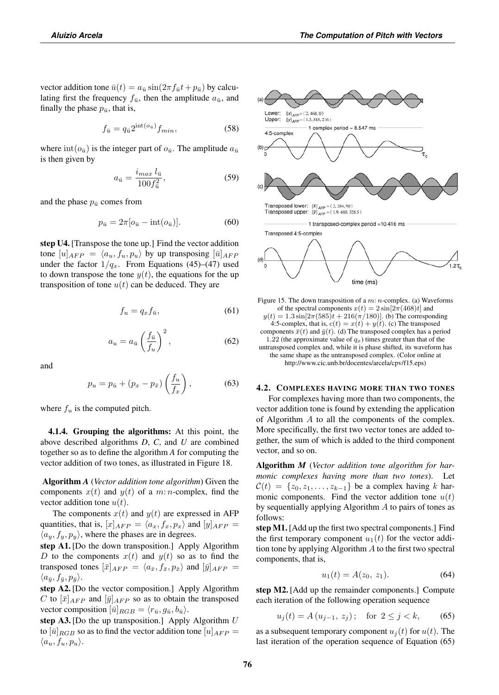vector addition tone  $\bar{u}(t) = a_{\bar{u}} \sin(2\pi f_{\bar{u}}t + p_{\bar{u}})$  by calculating first the frequency  $f_{\bar{u}}$ , then the amplitude  $a_{\bar{u}}$ , and finally the phase  $p_{\bar{u}}$ , that is,

$$
f_{\bar{u}} = q_{\bar{u}} 2^{\text{int}(o_{\bar{u}})} f_{min},\tag{58}
$$

where  $\text{int}(o_{\bar{u}})$  is the integer part of  $o_{\bar{u}}$ . The amplitude  $a_{\bar{u}}$ is then given by

$$
a_{\bar{u}} = \frac{i_{max} l_{\bar{u}}}{100 f_{\bar{u}}^2},\tag{59}
$$

and the phase  $p_{\bar{u}}$  comes from

$$
p_{\bar{u}} = 2\pi \left[ o_{\bar{u}} - \text{int}(o_{\bar{u}}) \right]. \tag{60}
$$

step U4. [Transpose the tone up.] Find the vector addition tone  $[u]_{AFP} = \langle a_u, f_u, p_u \rangle$  by up transposing  $[\bar{u}]_{AFP}$ under the factor  $1/q_x$ . From Equations (45)–(47) used to down transpose the tone  $y(t)$ , the equations for the up transposition of tone  $u(t)$  can be deduced. They are

$$
f_u = q_x f_{\bar{u}},\tag{61}
$$

$$
a_u = a_{\bar{u}} \left(\frac{f_{\bar{u}}}{f_u}\right)^2, \tag{62}
$$

and

$$
p_u = p_{\bar{u}} + (p_x - p_{\bar{x}}) \left(\frac{f_u}{f_x}\right),\tag{63}
$$

where  $f_u$  is the computed pitch.

4.1.4. Grouping the algorithms: At this point, the above described algorithms *D*, *C*, and *U* are combined together so as to define the algorithm *A* for computing the vector addition of two tones, as illustrated in Figure 18.

Algorithm *A* (*Vector addition tone algorithm*) Given the components  $x(t)$  and  $y(t)$  of a m: n-complex, find the vector addition tone  $u(t)$ .

The components  $x(t)$  and  $y(t)$  are expressed in AFP quantities, that is,  $[x]_{AFP} = \langle a_x, f_x, p_x \rangle$  and  $[y]_{AFP} =$  $\langle a_y, f_y, p_y \rangle$ , where the phases are in degrees.

step A1. [Do the down transposition.] Apply Algorithm D to the components  $x(t)$  and  $y(t)$  so as to find the transposed tones  $[\bar{x}]_{AFP} = \langle a_{\bar{x}}, f_{\bar{x}}, p_{\bar{x}} \rangle$  and  $[\bar{y}]_{AFP} =$  $\langle a_{\bar{y}}, f_{\bar{y}}, p_{\bar{y}} \rangle.$ 

step A2. [Do the vector composition.] Apply Algorithm C to  $[\bar{x}]_{AFP}$  and  $[\bar{y}]_{AFP}$  so as to obtain the transposed vector composition  $[\bar{u}]_{RGB} = \langle r_{\bar{u}}, g_{\bar{u}}, b_{\bar{u}} \rangle$ .

step A3. [Do the up transposition.] Apply Algorithm  $U$ to  $[\bar{u}]_{RGB}$  so as to find the vector addition tone  $[u]_{AFP} =$  $\langle a_u, f_u, p_u \rangle$ .



Figure 15. The down transposition of a  $m: n$ -complex. (a) Waveforms of the spectral components  $x(t) = 2 \sin[2\pi (468)t]$  and  $y(t) = 1.3 \sin[2\pi (585)t + 216(\pi/180)]$ . (b) The corresponding 4:5-complex, that is,  $c(t) = x(t) + y(t)$ . (c) The transposed components  $\bar{x}(t)$  and  $\bar{y}(t)$ . (d) The transposed complex has a period 1.22 (the approximate value of  $q_x$ ) times greater than that of the untransposed complex and, while it is phase shifted, its waveform has the same shape as the untransposed complex. (Color online at http://www.cic.unb.br/docentes/arcela/cpv/f15.eps)

time (ms)

#### 4.2. COMPLEXES HAVING MORE THAN TWO TONES

For complexes having more than two components, the vector addition tone is found by extending the application of Algorithm A to all the components of the complex. More specifically, the first two vector tones are added together, the sum of which is added to the third component vector, and so on.

Algorithm *M* (*Vector addition tone algorithm for harmonic complexes having more than two tones*). Let  $\mathcal{C}(t) = \{z_0, z_1, \ldots, z_{k-1}\}\$  be a complex having k harmonic components. Find the vector addition tone  $u(t)$ by sequentially applying Algorithm A to pairs of tones as follows:

step M1. [Add up the first two spectral components.] Find the first temporary component  $u_1(t)$  for the vector addition tone by applying Algorithm A to the first two spectral components, that is,

$$
u_1(t) = A(z_0, z_1). \tag{64}
$$

step M2. [Add up the remainder components.] Compute each iteration of the following operation sequence

$$
u_j(t) = A(u_{j-1}, z_j); \text{ for } 2 \le j < k,\tag{65}
$$

as a subsequent temporary component  $u_i(t)$  for  $u(t)$ . The last iteration of the operation sequence of Equation (65)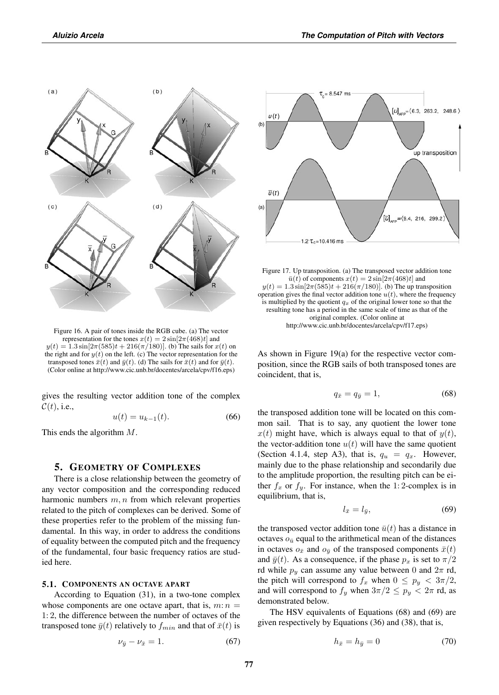

Figure 16. A pair of tones inside the RGB cube. (a) The vector representation for the tones  $x(t) = 2 \sin[2\pi (468)t]$  and  $y(t) = 1.3 \sin[2\pi(585)t + 216(\pi/180)]$ . (b) The sails for  $x(t)$  on the right and for  $y(t)$  on the left. (c) The vector representation for the transposed tones  $\bar{x}(t)$  and  $\bar{y}(t)$ . (d) The sails for  $\bar{x}(t)$  and for  $\bar{y}(t)$ . (Color online at http://www.cic.unb.br/docentes/arcela/cpv/f16.eps)

gives the resulting vector addition tone of the complex  $\mathcal{C}(t)$ , i.e.,

$$
u(t) = u_{k-1}(t).
$$
 (66)

This ends the algorithm M.

## 5. GEOMETRY OF COMPLEXES

There is a close relationship between the geometry of any vector composition and the corresponding reduced harmonic numbers  $m, n$  from which relevant properties related to the pitch of complexes can be derived. Some of these properties refer to the problem of the missing fundamental. In this way, in order to address the conditions of equality between the computed pitch and the frequency of the fundamental, four basic frequency ratios are studied here.

## 5.1. COMPONENTS AN OCTAVE APART

According to Equation (31), in a two-tone complex whose components are one octave apart, that is,  $m: n =$ 1: 2, the difference between the number of octaves of the transposed tone  $\bar{y}(t)$  relatively to  $f_{min}$  and that of  $\bar{x}(t)$  is

$$
\nu_{\bar{y}} - \nu_{\bar{x}} = 1. \tag{67}
$$



Figure 17. Up transposition. (a) The transposed vector addition tone  $\bar{u}(t)$  of components  $x(t) = 2 \sin[2\pi (468)t]$  and  $y(t) = 1.3 \sin[2\pi(585)t + 216(\pi/180)]$ . (b) The up transposition operation gives the final vector addition tone  $u(t)$ , where the frequency is multiplied by the quotient  $q_x$  of the original lower tone so that the resulting tone has a period in the same scale of time as that of the original complex. (Color online at http://www.cic.unb.br/docentes/arcela/cpv/f17.eps)

As shown in Figure 19(a) for the respective vector composition, since the RGB sails of both transposed tones are coincident, that is,

$$
q_{\bar{x}} = q_{\bar{y}} = 1,\tag{68}
$$

the transposed addition tone will be located on this common sail. That is to say, any quotient the lower tone  $x(t)$  might have, which is always equal to that of  $y(t)$ , the vector-addition tone  $u(t)$  will have the same quotient (Section 4.1.4, step A3), that is,  $q_u = q_x$ . However, mainly due to the phase relationship and secondarily due to the amplitude proportion, the resulting pitch can be either  $f_x$  or  $f_y$ . For instance, when the 1:2-complex is in equilibrium, that is,

$$
l_{\bar{x}} = l_{\bar{y}},\tag{69}
$$

the transposed vector addition tone  $\bar{u}(t)$  has a distance in octaves  $o_{\bar{u}}$  equal to the arithmetical mean of the distances in octaves  $o_{\bar{x}}$  and  $o_{\bar{y}}$  of the transposed components  $\bar{x}(t)$ and  $\bar{y}(t)$ . As a consequence, if the phase  $p_x$  is set to  $\pi/2$ rd while  $p_y$  can assume any value between 0 and  $2\pi$  rd, the pitch will correspond to  $f_x$  when  $0 \leq p_y < 3\pi/2$ , and will correspond to  $f_y$  when  $3\pi/2 \leq p_y < 2\pi$  rd, as demonstrated below.

The HSV equivalents of Equations (68) and (69) are given respectively by Equations (36) and (38), that is,

$$
h_{\bar{x}} = h_{\bar{y}} = 0 \tag{70}
$$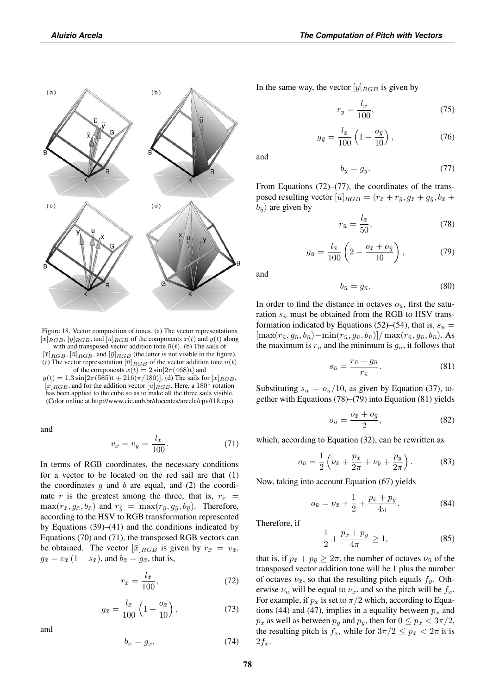

Figure 18. Vector composition of tones. (a) The vector representations  $[\bar{x}]_{RGB}, [\bar{y}]_{RGB},$  and  $[\bar{u}]_{RGB}$  of the components  $x(t)$  and  $y(t)$  along with and transposed vector addition tone  $\bar{u}(t)$ . (b) The sails of  $[\bar{x}]_{RGB}, [\bar{u}]_{RGB}$ , and  $[\bar{y}]_{RGB}$  (the latter is not visible in the figure).

(c) The vector representation  $[\bar{u}]_{RGB}$  of the vector addition tone  $u(t)$ of the components  $x(t) = 2 \sin[2\pi (468)t]$  and  $y(t) = 1.3 \sin[2\pi (585)t + 216(\pi/180)].$  (d) The sails for  $[x]_{RGB}$ ,  $[x]_{RGB}$ , and for the addition vector  $[u]_{RGB}$ . Here, a 180 $^{\circ}$  rotation has been applied to the cube so as to make all the three sails visible.

(Color online at http://www.cic.unb.br/docentes/arcela/cpv/f18.eps)

and

$$
v_{\bar{x}} = v_{\bar{y}} = \frac{l_{\bar{x}}}{100}.
$$
 (71)

In terms of RGB coordinates, the necessary conditions for a vector to be located on the red sail are that (1) the coordinates  $g$  and  $b$  are equal, and (2) the coordinate r is the greatest among the three, that is,  $r_{\bar{x}}$  =  $\max(r_{\bar{x}}, g_{\bar{x}}, b_{\bar{x}})$  and  $r_{\bar{y}} = \max(r_{\bar{y}}, g_{\bar{y}}, b_{\bar{y}})$ . Therefore, according to the HSV to RGB transformation represented by Equations  $(39)$ – $(41)$  and the conditions indicated by Equations (70) and (71), the transposed RGB vectors can be obtained. The vector  $[\bar{x}]_{RGB}$  is given by  $r_{\bar{x}} = v_{\bar{x}}$ ,  $g_{\bar{x}} = v_{\bar{x}} (1 - s_{\bar{x}})$ , and  $b_{\bar{x}} = g_{\bar{x}}$ , that is,

$$
r_{\bar{x}} = \frac{l_{\bar{x}}}{100},\tag{72}
$$

$$
g_{\bar{x}} = \frac{l_{\bar{x}}}{100} \left( 1 - \frac{o_{\bar{x}}}{10} \right),
$$
 (73)

and

$$
b_{\bar{x}} = g_{\bar{x}}.\t(74)
$$

In the same way, the vector  $[\bar{y}]_{RGB}$  is given by

$$
r_{\bar{y}} = \frac{l_{\bar{x}}}{100},\tag{75}
$$

$$
g_{\bar{y}} = \frac{l_{\bar{x}}}{100} \left( 1 - \frac{o_{\bar{y}}}{10} \right),\tag{76}
$$

and

$$
b_{\bar{y}} = g_{\bar{y}}.\tag{77}
$$

From Equations (72)–(77), the coordinates of the transposed resulting vector  $[\bar{u}]_{RGB} = \langle r_{\bar{x}} + r_{\bar{y}}, g_{\bar{x}} + g_{\bar{y}}, b_{\bar{x}} +$  $b_{\bar{y}}\rangle$  are given by

$$
r_{\bar{u}} = \frac{l_{\bar{x}}}{50},\tag{78}
$$

$$
g_{\bar{u}} = \frac{l_{\bar{x}}}{100} \left( 2 - \frac{o_{\bar{x}} + o_{\bar{y}}}{10} \right), \tag{79}
$$

and

$$
b_{\bar{u}} = g_{\bar{u}}.\tag{80}
$$

In order to find the distance in octaves  $o_{\bar{u}}$ , first the saturation  $s_{\bar{u}}$  must be obtained from the RGB to HSV transformation indicated by Equations (52)–(54), that is,  $s_{\bar{u}} =$  $[\max(r_{\bar{u}}, g_{\bar{u}}, b_{\bar{u}}) - \min(r_{\bar{u}}, g_{\bar{u}}, b_{\bar{u}})] / \max(r_{\bar{u}}, g_{\bar{u}}, b_{\bar{u}})$ . As the maximum is  $r_{\bar{u}}$  and the minimum is  $g_{\bar{u}}$ , it follows that

$$
s_{\bar{u}} = \frac{r_{\bar{u}} - g_{\bar{u}}}{r_{\bar{u}}}.\tag{81}
$$

Substituting  $s_{\bar{u}} = o_{\bar{u}}/10$ , as given by Equation (37), together with Equations (78)–(79) into Equation (81) yields

$$
o_{\bar{u}} = \frac{o_{\bar{x}} + o_{\bar{y}}}{2},\tag{82}
$$

which, according to Equation (32), can be rewritten as

$$
o_{\bar{u}} = \frac{1}{2} \left( \nu_{\bar{x}} + \frac{p_{\bar{x}}}{2\pi} + \nu_{\bar{y}} + \frac{p_{\bar{y}}}{2\pi} \right). \tag{83}
$$

Now, taking into account Equation (67) yields

$$
o_{\bar{u}} = \nu_{\bar{x}} + \frac{1}{2} + \frac{p_{\bar{x}} + p_{\bar{y}}}{4\pi}.
$$
 (84)

Therefore, if

$$
\frac{1}{2} + \frac{p_{\bar{x}} + p_{\bar{y}}}{4\pi} \ge 1, \tag{85}
$$

that is, if  $p_{\bar{x}} + p_{\bar{y}} \geq 2\pi$ , the number of octaves  $\nu_{\bar{u}}$  of the transposed vector addition tone will be 1 plus the number of octaves  $\nu_{\bar{x}}$ , so that the resulting pitch equals  $f_y$ . Otherwise  $\nu_{\bar{u}}$  will be equal to  $\nu_{\bar{x}}$ , and so the pitch will be  $f_x$ . For example, if  $p_x$  is set to  $\pi/2$  which, according to Equations (44) and (47), implies in a equality between  $p_x$  and  $p_{\bar{x}}$  as well as between  $p_y$  and  $p_{\bar{y}}$ , then for  $0 \le p_{\bar{x}} < 3\pi/2$ , the resulting pitch is  $f_x$ , while for  $3\pi/2 \le p_{\bar{x}} < 2\pi$  it is  $2f_x$ .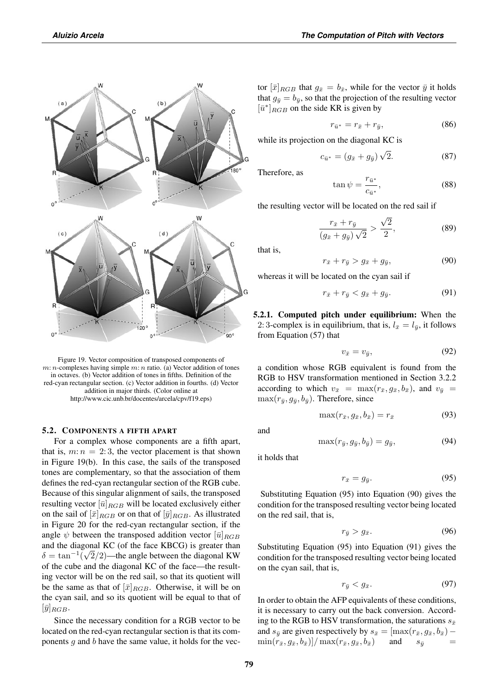

Figure 19. Vector composition of transposed components of  $m: n$ -complexes having simple  $m: n$  ratio. (a) Vector addition of tones in octaves. (b) Vector addition of tones in fifths. Definition of the red-cyan rectangular section. (c) Vector addition in fourths. (d) Vector addition in major thirds. (Color online at http://www.cic.unb.br/docentes/arcela/cpv/f19.eps)

#### 5.2. COMPONENTS A FIFTH APART

For a complex whose components are a fifth apart, that is,  $m: n = 2:3$ , the vector placement is that shown in Figure 19(b). In this case, the sails of the transposed tones are complementary, so that the association of them defines the red-cyan rectangular section of the RGB cube. Because of this singular alignment of sails, the transposed resulting vector  $[\bar{u}]_{RGB}$  will be located exclusively either on the sail of  $[\bar{x}]_{RGB}$  or on that of  $[\bar{y}]_{RGB}$ . As illustrated in Figure 20 for the red-cyan rectangular section, if the angle  $\psi$  between the transposed addition vector  $[\bar{u}]_{RGB}$ and the diagonal KC (of the face KBCG) is greater than  $\delta = \tan^{-1}(\sqrt{2}/2)$ —the angle between the diagonal KW of the cube and the diagonal KC of the face—the resulting vector will be on the red sail, so that its quotient will be the same as that of  $[\bar{x}]_{RGB}$ . Otherwise, it will be on the cyan sail, and so its quotient will be equal to that of  $[\bar{y}]_{RGB}$ .

Since the necessary condition for a RGB vector to be located on the red-cyan rectangular section is that its components  $g$  and  $b$  have the same value, it holds for the vector  $[\bar{x}]_{RGB}$  that  $g_{\bar{x}} = b_{\bar{x}}$ , while for the vector  $\bar{y}$  it holds that  $g_{\bar{y}} = b_{\bar{y}}$ , so that the projection of the resulting vector  $[\bar{u}^*]_{RGB}$  on the side KR is given by

$$
r_{\bar{u}^*} = r_{\bar{x}} + r_{\bar{y}},\tag{86}
$$

while its projection on the diagonal KC is

$$
c_{\bar{u}^*} = (g_{\bar{x}} + g_{\bar{y}}) \sqrt{2}.
$$
 (87)

Therefore, as

$$
\tan\psi = \frac{r_{\bar{u}^*}}{c_{\bar{u}^*}},\tag{88}
$$

the resulting vector will be located on the red sail if

$$
\frac{r_{\bar{x}} + r_{\bar{y}}}{(g_{\bar{x}} + g_{\bar{y}})\sqrt{2}} > \frac{\sqrt{2}}{2},\tag{89}
$$

that is,

$$
r_{\bar{x}} + r_{\bar{y}} > g_{\bar{x}} + g_{\bar{y}},\tag{90}
$$

whereas it will be located on the cyan sail if

$$
r_{\bar{x}} + r_{\bar{y}} < g_{\bar{x}} + g_{\bar{y}}.\tag{91}
$$

5.2.1. Computed pitch under equilibrium: When the 2: 3-complex is in equilibrium, that is,  $l_{\bar{x}} = l_{\bar{y}}$ , it follows from Equation (57) that

$$
v_{\bar{x}} = v_{\bar{y}},\tag{92}
$$

a condition whose RGB equivalent is found from the RGB to HSV transformation mentioned in Section 3.2.2 according to which  $v_{\bar{x}} = \max(r_{\bar{x}}, g_{\bar{x}}, b_{\bar{x}})$ , and  $v_{\bar{y}} =$  $\max(r_{\bar{y}}, g_{\bar{y}}, b_{\bar{y}})$ . Therefore, since

$$
\max(r_{\bar{x}}, g_{\bar{x}}, b_{\bar{x}}) = r_{\bar{x}} \tag{93}
$$

and

$$
\max(r_{\bar{y}}, g_{\bar{y}}, b_{\bar{y}}) = g_{\bar{y}},\tag{94}
$$

it holds that

$$
r_{\bar{x}} = g_{\bar{y}}.\tag{95}
$$

Substituting Equation (95) into Equation (90) gives the condition for the transposed resulting vector being located on the red sail, that is,

$$
r_{\bar{y}} > g_{\bar{x}}.\tag{96}
$$

Substituting Equation (95) into Equation (91) gives the condition for the transposed resulting vector being located on the cyan sail, that is,

$$
r_{\bar{y}} < g_{\bar{x}}.\tag{97}
$$

In order to obtain the AFP equivalents of these conditions, it is necessary to carry out the back conversion. According to the RGB to HSV transformation, the saturations  $s_{\bar{x}}$ and  $s_{\bar{y}}$  are given respectively by  $s_{\bar{x}} = [\max(r_{\bar{x}}, g_{\bar{x}}, b_{\bar{x}}) - \min(r_{\bar{x}}, g_{\bar{x}}, b_{\bar{x}})] / \max(r_{\bar{x}}, g_{\bar{x}}, b_{\bar{x}})$  and  $s_{\bar{y}} =$  $\min(r_{\bar{x}}, g_{\bar{x}}, b_{\bar{x}})] / \max(r_{\bar{x}}, g_{\bar{x}}, b_{\bar{x}})$  and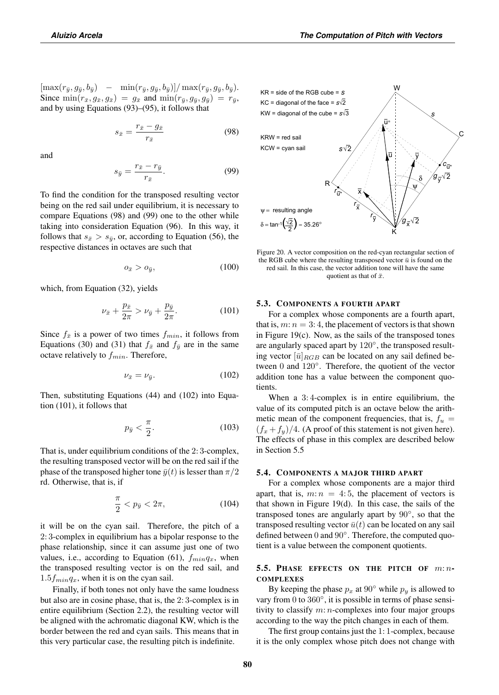$[\max(r_{\bar{y}}, g_{\bar{y}}, b_{\bar{y}})] - \min(r_{\bar{y}}, g_{\bar{y}}, b_{\bar{y}})] / \max(r_{\bar{y}}, g_{\bar{y}}, b_{\bar{y}}).$ Since  $\min(r_{\bar{x}}, g_{\bar{x}}, g_{\bar{x}}) = g_{\bar{x}}$  and  $\min(r_{\bar{y}}, g_{\bar{y}}, g_{\bar{y}}) = r_{\bar{y}}$ , and by using Equations (93)–(95), it follows that

$$
s_{\bar{x}} = \frac{r_{\bar{x}} - g_{\bar{x}}}{r_{\bar{x}}} \tag{98}
$$

and

$$
s_{\bar{y}} = \frac{r_{\bar{x}} - r_{\bar{y}}}{r_{\bar{x}}}.
$$
\n
$$
(99)
$$

To find the condition for the transposed resulting vector being on the red sail under equilibrium, it is necessary to compare Equations (98) and (99) one to the other while taking into consideration Equation (96). In this way, it follows that  $s_{\bar{x}} > s_{\bar{y}}$ , or, according to Equation (56), the respective distances in octaves are such that

$$
o_{\bar{x}} > o_{\bar{y}}, \tag{100}
$$

which, from Equation (32), yields

$$
\nu_{\bar{x}} + \frac{p_{\bar{x}}}{2\pi} > \nu_{\bar{y}} + \frac{p_{\bar{y}}}{2\pi}.
$$
 (101)

Since  $f_{\bar{x}}$  is a power of two times  $f_{min}$ , it follows from Equations (30) and (31) that  $f_{\bar{x}}$  and  $f_{\bar{y}}$  are in the same octave relatively to  $f_{min}$ . Therefore,

$$
\nu_{\bar{x}} = \nu_{\bar{y}}.\tag{102}
$$

Then, substituting Equations (44) and (102) into Equation (101), it follows that

$$
p_{\bar{y}} < \frac{\pi}{2}.\tag{103}
$$

That is, under equilibrium conditions of the 2: 3-complex, the resulting transposed vector will be on the red sail if the phase of the transposed higher tone  $\bar{y}(t)$  is lesser than  $\pi/2$ rd. Otherwise, that is, if

$$
\frac{\pi}{2} < p_{\bar{y}} < 2\pi,\tag{104}
$$

it will be on the cyan sail. Therefore, the pitch of a 2: 3-complex in equilibrium has a bipolar response to the phase relationship, since it can assume just one of two values, i.e., according to Equation (61),  $f_{min}q_x$ , when the transposed resulting vector is on the red sail, and  $1.5f_{min}q_x$ , when it is on the cyan sail.

Finally, if both tones not only have the same loudness but also are in cosine phase, that is, the 2: 3-complex is in entire equilibrium (Section 2.2), the resulting vector will be aligned with the achromatic diagonal KW, which is the border between the red and cyan sails. This means that in this very particular case, the resulting pitch is indefinite.



Figure 20. A vector composition on the red-cyan rectangular section of the RGB cube where the resulting transposed vector  $\bar{u}$  is found on the red sail. In this case, the vector addition tone will have the same quotient as that of  $\bar{x}$ .

#### 5.3. COMPONENTS A FOURTH APART

For a complex whose components are a fourth apart, that is,  $m: n = 3: 4$ , the placement of vectors is that shown in Figure  $19(c)$ . Now, as the sails of the transposed tones are angularly spaced apart by 120◦, the transposed resulting vector  $[\bar{u}]_{RGB}$  can be located on any sail defined between 0 and 120◦. Therefore, the quotient of the vector addition tone has a value between the component quotients.

When a 3: 4-complex is in entire equilibrium, the value of its computed pitch is an octave below the arithmetic mean of the component frequencies, that is,  $f_u =$  $(f_x + f_y)/4$ . (A proof of this statement is not given here). The effects of phase in this complex are described below in Section 5.5

#### 5.4. COMPONENTS A MAJOR THIRD APART

For a complex whose components are a major third apart, that is,  $m: n = 4:5$ , the placement of vectors is that shown in Figure 19(d). In this case, the sails of the transposed tones are angularly apart by 90◦, so that the transposed resulting vector  $\bar{u}(t)$  can be located on any sail defined between 0 and 90◦. Therefore, the computed quotient is a value between the component quotients.

## 5.5. PHASE EFFECTS ON THE PITCH OF  $m:n$ -**COMPLEXES**

By keeping the phase  $p_x$  at  $90°$  while  $p_y$  is allowed to vary from 0 to  $360^\circ$ , it is possible in terms of phase sensitivity to classify  $m: n$ -complexes into four major groups according to the way the pitch changes in each of them.

The first group contains just the 1: 1-complex, because it is the only complex whose pitch does not change with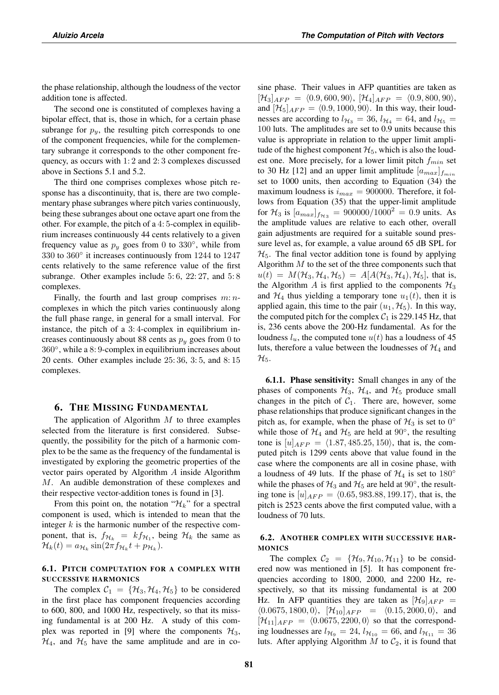the phase relationship, although the loudness of the vector addition tone is affected.

The second one is constituted of complexes having a bipolar effect, that is, those in which, for a certain phase subrange for  $p_y$ , the resulting pitch corresponds to one of the component frequencies, while for the complementary subrange it corresponds to the other component frequency, as occurs with 1: 2 and 2: 3 complexes discussed above in Sections 5.1 and 5.2.

The third one comprises complexes whose pitch response has a discontinuity, that is, there are two complementary phase subranges where pitch varies continuously, being these subranges about one octave apart one from the other. For example, the pitch of a 4: 5-complex in equilibrium increases continuously 44 cents relatively to a given frequency value as  $p_y$  goes from 0 to 330 $\degree$ , while from 330 to 360◦ it increases continuously from 1244 to 1247 cents relatively to the same reference value of the first subrange. Other examples include 5:6, 22:27, and 5:8 complexes.

Finally, the fourth and last group comprises  $m:n$ complexes in which the pitch varies continuously along the full phase range, in general for a small interval. For instance, the pitch of a 3: 4-complex in equilibrium increases continuously about 88 cents as  $p_y$  goes from 0 to 360◦, while a 8: 9-complex in equilibrium increases about 20 cents. Other examples include 25: 36, 3: 5, and 8: 15 complexes.

## 6. THE MISSING FUNDAMENTAL

The application of Algorithm  $M$  to three examples selected from the literature is first considered. Subsequently, the possibility for the pitch of a harmonic complex to be the same as the frequency of the fundamental is investigated by exploring the geometric properties of the vector pairs operated by Algorithm A inside Algorithm M. An audible demonstration of these complexes and their respective vector-addition tones is found in [3].

From this point on, the notation " $\mathcal{H}_k$ " for a spectral component is used, which is intended to mean that the integer  $k$  is the harmonic number of the respective component, that is,  $f_{\mathcal{H}_k} = kf_{\mathcal{H}_1}$ , being  $\mathcal{H}_k$  the same as  $\mathcal{H}_k(t) = a_{\mathcal{H}_k} \sin(2\pi f_{\mathcal{H}_k} t + p_{\mathcal{H}_k}).$ 

## 6.1. PITCH COMPUTATION FOR A COMPLEX WITH SUCCESSIVE HARMONICS

The complex  $C_1 = \{H_3, H_4, H_5\}$  to be considered in the first place has component frequencies according to 600, 800, and 1000 Hz, respectively, so that its missing fundamental is at 200 Hz. A study of this complex was reported in [9] where the components  $\mathcal{H}_3$ ,  $\mathcal{H}_4$ , and  $\mathcal{H}_5$  have the same amplitude and are in cosine phase. Their values in AFP quantities are taken as  $[\mathcal{H}_3]_{AFP} = \langle 0.9, 600, 90 \rangle, [\mathcal{H}_4]_{AFP} = \langle 0.9, 800, 90 \rangle,$ and  $[\mathcal{H}_5]_{AFP} = \langle 0.9, 1000, 90 \rangle$ . In this way, their loudnesses are according to  $l_{\mathcal{H}_3} = 36$ ,  $l_{\mathcal{H}_4} = 64$ , and  $l_{\mathcal{H}_5} =$ 100 luts. The amplitudes are set to 0.9 units because this value is appropriate in relation to the upper limit amplitude of the highest component  $\mathcal{H}_5$ , which is also the loudest one. More precisely, for a lower limit pitch  $f_{min}$  set to 30 Hz [12] and an upper limit amplitude  $[a_{max}]_{f_{min}}$ set to 1000 units, then according to Equation (34) the maximum loudness is  $i_{max} = 900000$ . Therefore, it follows from Equation (35) that the upper-limit amplitude for  $\mathcal{H}_3$  is  $[a_{max}]_{f_{\mathcal{H}_3}} = 900000/1000^2 = 0.9$  units. As the amplitude values are relative to each other, overall gain adjustments are required for a suitable sound pressure level as, for example, a value around 65 dB SPL for  $\mathcal{H}_5$ . The final vector addition tone is found by applying Algorithm  $M$  to the set of the three components such that  $u(t) = M(\mathcal{H}_3, \mathcal{H}_4, \mathcal{H}_5) = A[A(\mathcal{H}_3, \mathcal{H}_4), \mathcal{H}_5]$ , that is, the Algorithm  $A$  is first applied to the components  $\mathcal{H}_3$ and  $\mathcal{H}_4$  thus yielding a temporary tone  $u_1(t)$ , then it is applied again, this time to the pair  $(u_1, \mathcal{H}_5)$ . In this way, the computed pitch for the complex  $C_1$  is 229.145 Hz, that is, 236 cents above the 200-Hz fundamental. As for the loudness  $l_u$ , the computed tone  $u(t)$  has a loudness of 45 luts, therefore a value between the loudnesses of  $\mathcal{H}_4$  and  $\mathcal{H}_5.$ 

6.1.1. Phase sensitivity: Small changes in any of the phases of components  $\mathcal{H}_3$ ,  $\mathcal{H}_4$ , and  $\mathcal{H}_5$  produce small changes in the pitch of  $C_1$ . There are, however, some phase relationships that produce significant changes in the pitch as, for example, when the phase of  $\mathcal{H}_3$  is set to  $0^\circ$ while those of  $H_4$  and  $H_5$  are held at  $90^\circ$ , the resulting tone is  $[u]_{AFP} = \langle 1.87, 485.25, 150 \rangle$ , that is, the computed pitch is 1299 cents above that value found in the case where the components are all in cosine phase, with a loudness of 49 luts. If the phase of  $\mathcal{H}_4$  is set to 180° while the phases of  $H_3$  and  $H_5$  are held at  $90^\circ$ , the resulting tone is  $[u]_{AFP} = (0.65, 983.88, 199.17)$ , that is, the pitch is 2523 cents above the first computed value, with a loudness of 70 luts.

## 6.2. ANOTHER COMPLEX WITH SUCCESSIVE HAR-MONICS

The complex  $C_2 = {\mathcal{H}_9, \mathcal{H}_{10}, \mathcal{H}_{11}}$  to be considered now was mentioned in [5]. It has component frequencies according to 1800, 2000, and 2200 Hz, respectively, so that its missing fundamental is at 200 Hz. In AFP quantities they are taken as  $[\mathcal{H}_9]_{AFP}$  =  $(0.0675, 1800, 0), [\mathcal{H}_{10}]_{AFP} = (0.15, 2000, 0),$  and  $[\mathcal{H}_{11}]_{AFP} = \langle 0.0675, 2200, 0 \rangle$  so that the corresponding loudnesses are  $l_{\mathcal{H}_9} = 24$ ,  $l_{\mathcal{H}_{10}} = 66$ , and  $l_{\mathcal{H}_{11}} = 36$ luts. After applying Algorithm  $M$  to  $C_2$ , it is found that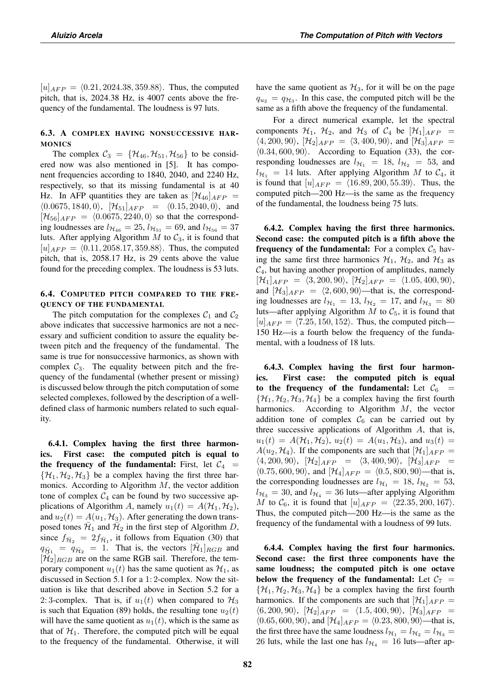$[u]_{AFP} = (0.21, 2024.38, 359.88)$ . Thus, the computed pitch, that is, 2024.38 Hz, is 4007 cents above the frequency of the fundamental. The loudness is 97 luts.

## 6.3. A COMPLEX HAVING NONSUCCESSIVE HAR-**MONICS**

The complex  $\mathcal{C}_3 = {\mathcal{H}_{46}, \mathcal{H}_{51}, \mathcal{H}_{56}}$  to be considered now was also mentioned in [5]. It has component frequencies according to 1840, 2040, and 2240 Hz, respectively, so that its missing fundamental is at 40 Hz. In AFP quantities they are taken as  $[\mathcal{H}_{46}]_{AFP} =$  $\langle 0.0675, 1840, 0 \rangle$ ,  $[\mathcal{H}_{51}]_{AFP} = \langle 0.15, 2040, 0 \rangle$ , and  $[\mathcal{H}_{56}]_{AFP} = \langle 0.0675, 2240, 0 \rangle$  so that the corresponding loudnesses are  $l_{\mathcal{H}_{46}} = 25$ ,  $l_{\mathcal{H}_{51}} = 69$ , and  $l_{\mathcal{H}_{56}} = 37$ luts. After applying Algorithm  $M$  to  $C_3$ , it is found that  $[u]_{AFP} = \langle 0.11, 2058.17, 359.88 \rangle$ . Thus, the computed pitch, that is, 2058.17 Hz, is 29 cents above the value found for the preceding complex. The loudness is 53 luts.

## 6.4. COMPUTED PITCH COMPARED TO THE FRE-QUENCY OF THE FUNDAMENTAL

The pitch computation for the complexes  $C_1$  and  $C_2$ above indicates that successive harmonics are not a necessary and sufficient condition to assure the equality between pitch and the frequency of the fundamental. The same is true for nonsuccessive harmonics, as shown with complex  $C_3$ . The equality between pitch and the frequency of the fundamental (whether present or missing) is discussed below through the pitch computation of some selected complexes, followed by the description of a welldefined class of harmonic numbers related to such equality.

6.4.1. Complex having the first three harmonics. First case: the computed pitch is equal to the frequency of the fundamental: First, let  $C_4$  =  $\{\mathcal{H}_1, \mathcal{H}_2, \mathcal{H}_3\}$  be a complex having the first three harmonics. According to Algorithm  $M$ , the vector addition tone of complex  $C_4$  can be found by two successive applications of Algorithm A, namely  $u_1(t) = A(\mathcal{H}_1, \mathcal{H}_2)$ , and  $u_2(t) = A(u_1, \mathcal{H}_3)$ . After generating the down transposed tones  $\bar{\mathcal{H}}_1$  and  $\bar{\mathcal{H}}_2$  in the first step of Algorithm D, since  $f_{\overline{\mathcal{H}}_2} = 2f_{\overline{\mathcal{H}}_1}$ , it follows from Equation (30) that  $q_{\overline{H}_1} = q_{\overline{H}_2} = 1$ . That is, the vectors  $[\overline{H}_1]_{RGB}$  and  $[\bar{\mathcal{H}}_2]_{RGB}$  are on the same RGB sail. Therefore, the temporary component  $u_1(t)$  has the same quotient as  $\mathcal{H}_1$ , as discussed in Section 5.1 for a 1: 2-complex. Now the situation is like that described above in Section 5.2 for a 2: 3-complex. That is, if  $u_1(t)$  when compared to  $\mathcal{H}_3$ is such that Equation (89) holds, the resulting tone  $u_2(t)$ will have the same quotient as  $u_1(t)$ , which is the same as that of  $\mathcal{H}_1$ . Therefore, the computed pitch will be equal to the frequency of the fundamental. Otherwise, it will have the same quotient as  $\mathcal{H}_3$ , for it will be on the page  $q_{u_2} = q_{\mathcal{H}_3}$ . In this case, the computed pitch will be the same as a fifth above the frequency of the fundamental.

For a direct numerical example, let the spectral components  $\mathcal{H}_1$ ,  $\mathcal{H}_2$ , and  $\mathcal{H}_3$  of  $\mathcal{C}_4$  be  $[\mathcal{H}_1]_{AFP}$  =  $\langle 4, 200, 90 \rangle$ ,  $[\mathcal{H}_2]_{AFP} = \langle 3, 400, 90 \rangle$ , and  $[\mathcal{H}_3]_{AFP} =$  $(0.34, 600, 90)$ . According to Equation (33), the corresponding loudnesses are  $l_{\mathcal{H}_1} = 18$ ,  $l_{\mathcal{H}_2} = 53$ , and  $l_{\mathcal{H}_1}$  = 14 luts. After applying Algorithm M to  $\mathcal{C}_4$ , it is found that  $[u]_{AFP} = \langle 16.89, 200, 55.39 \rangle$ . Thus, the computed pitch—200 Hz—is the same as the frequency of the fundamental, the loudness being 75 luts.

6.4.2. Complex having the first three harmonics. Second case: the computed pitch is a fifth above the frequency of the fundamental: For a complex  $C_5$  having the same first three harmonics  $H_1$ ,  $H_2$ , and  $H_3$  as  $C_4$ , but having another proportion of amplitudes, namely  $[\mathcal{H}_1]_{AFP} = \langle 3, 200, 90 \rangle, [\mathcal{H}_2]_{AFP} = \langle 1.05, 400, 90 \rangle,$ and  $[\mathcal{H}_3]_{AFP} = \langle 2, 600, 90 \rangle$ —that is, the corresponding loudnesses are  $l_{\mathcal{H}_1} = 13$ ,  $l_{\mathcal{H}_2} = 17$ , and  $l_{\mathcal{H}_3} = 80$ luts—after applying Algorithm  $M$  to  $C_5$ , it is found that  $[u]_{AFP} = \langle 7.25, 150, 152 \rangle$ . Thus, the computed pitch— 150 Hz—is a fourth below the frequency of the fundamental, with a loudness of 18 luts.

6.4.3. Complex having the first four harmonics. First case: the computed pitch is equal to the frequency of the fundamental: Let  $C_6$  =  $\{H_1, H_2, H_3, H_4\}$  be a complex having the first fourth harmonics. According to Algorithm M, the vector According to Algorithm  $M$ , the vector addition tone of complex  $C_6$  can be carried out by three successive applications of Algorithm A, that is,  $u_1(t) = A(\mathcal{H}_1, \mathcal{H}_2), u_2(t) = A(u_1, \mathcal{H}_3),$  and  $u_3(t) =$  $A(u_2, \mathcal{H}_4)$ . If the components are such that  $[\mathcal{H}_1]_{AFP} =$  $\langle 4, 200, 90 \rangle$ ,  $[\mathcal{H}_2]_{AFP} = \langle 3, 400, 90 \rangle$ ,  $[\mathcal{H}_3]_{AFP} =$  $(0.75, 600, 90)$ , and  $[\mathcal{H}_4]_{AFP} = (0.5, 800, 90)$ —that is, the corresponding loudnesses are  $l_{\mathcal{H}_1} = 18$ ,  $l_{\mathcal{H}_2} = 53$ ,  $l_{\mathcal{H}_3}$  = 30, and  $l_{\mathcal{H}_4}$  = 36 luts—after applying Algorithm *M* to  $C_6$ , it is found that  $[u]_{AFP} = \langle 22.35, 200, 167 \rangle$ . Thus, the computed pitch—200 Hz—is the same as the frequency of the fundamental with a loudness of 99 luts.

6.4.4. Complex having the first four harmonics. Second case: the first three components have the same loudness; the computed pitch is one octave below the frequency of the fundamental: Let  $C_7$  =  $\{\mathcal{H}_1, \mathcal{H}_2, \mathcal{H}_3, \mathcal{H}_4\}$  be a complex having the first fourth harmonics. If the components are such that  $[\mathcal{H}_1]_{AFP} =$  $\langle 6, 200, 90 \rangle$ ,  $[\mathcal{H}_2]_{AFP} = \langle 1.5, 400, 90 \rangle$ ,  $[\mathcal{H}_3]_{AFP} =$  $(0.65, 600, 90)$ , and  $[\mathcal{H}_4]_{AFP} = (0.23, 800, 90)$ —that is, the first three have the same loudness  $l_{\mathcal{H}_1} = l_{\mathcal{H}_2} = l_{\mathcal{H}_3} =$ 26 luts, while the last one has  $l_{\mathcal{H}_4} = 16$  luts—after ap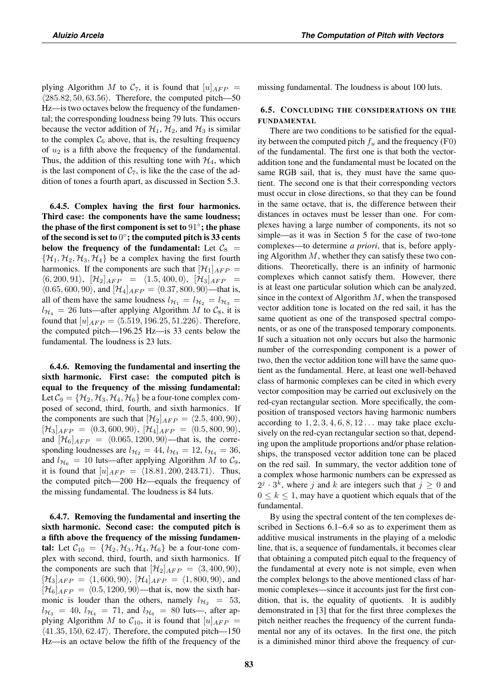plying Algorithm M to  $C_7$ , it is found that  $[u]_{AFP} =$  $(285.82, 50, 63.56)$ . Therefore, the computed pitch—50 Hz—is two octaves below the frequency of the fundamental; the corresponding loudness being 79 luts. This occurs because the vector addition of  $\mathcal{H}_1$ ,  $\mathcal{H}_2$ , and  $\mathcal{H}_3$  is similar to the complex  $C_6$  above, that is, the resulting frequency of  $u_2$  is a fifth above the frequency of the fundamental. Thus, the addition of this resulting tone with  $\mathcal{H}_4$ , which is the last component of  $C_7$ , is like the the case of the addition of tones a fourth apart, as discussed in Section 5.3.

6.4.5. Complex having the first four harmonics. Third case: the components have the same loudness; the phase of the first component is set to  $91°$ ; the phase of the second is set to  $0^\circ$ ; the computed pitch is 33 cents below the frequency of the fundamental: Let  $C_8$  =  $\{\mathcal{H}_1, \mathcal{H}_2, \mathcal{H}_3, \mathcal{H}_4\}$  be a complex having the first fourth harmonics. If the components are such that  $[\mathcal{H}_1]_{AFP} =$  $\langle 6, 200, 91 \rangle$ ,  $[\mathcal{H}_2]_{AFP} = \langle 1.5, 400, 0 \rangle$ ,  $[\mathcal{H}_3]_{AFP} =$  $(0.65, 600, 90)$ , and  $[\mathcal{H}_4]_{AFP} = (0.37, 800, 90)$ —that is, all of them have the same loudness  $l_{\mathcal{H}_1} = l_{\mathcal{H}_2} = l_{\mathcal{H}_3}$  $l_{\mathcal{H}_4}$  = 26 luts—after applying Algorithm M to  $\mathcal{C}_8$ , it is found that  $[u]_{AFP} = \langle 5.519, 196.25, 51.226 \rangle$ . Therefore, the computed pitch—196.25 Hz—is 33 cents below the fundamental. The loudness is 23 luts.

6.4.6. Removing the fundamental and inserting the sixth harmonic. First case: the computed pitch is equal to the frequency of the missing fundamental: Let  $C_9 = {\mathcal{H}_2, \mathcal{H}_3, \mathcal{H}_4, \mathcal{H}_6}$  be a four-tone complex composed of second, third, fourth, and sixth harmonics. If the components are such that  $[\mathcal{H}_2]_{AFP} = \langle 2.5, 400, 90 \rangle$ ,  $[\mathcal{H}_3]_{AFP} = \langle 0.3, 600, 90 \rangle, [\mathcal{H}_4]_{AFP} = \langle 0.5, 800, 90 \rangle,$ and  $[\mathcal{H}_6]_{AFP} = \langle 0.065, 1200, 90 \rangle$ —that is, the corresponding loudnesses are  $l_{\mathcal{H}_2} = 44$ ,  $l_{\mathcal{H}_3} = 12$ ,  $l_{\mathcal{H}_4} = 36$ , and  $l_{\mathcal{H}_6} = 10$  luts—after applying Algorithm M to  $\mathcal{C}_9$ , it is found that  $[u]_{AFP} = \langle 18.81, 200, 243.71 \rangle$ . Thus, the computed pitch—200 Hz—equals the frequency of the missing fundamental. The loudness is 84 luts.

6.4.7. Removing the fundamental and inserting the sixth harmonic. Second case: the computed pitch is a fifth above the frequency of the missing fundamental: Let  $\mathcal{C}_{10} = {\mathcal{H}_2, \mathcal{H}_3, \mathcal{H}_4, \mathcal{H}_6}$  be a four-tone complex with second, third, fourth, and sixth harmonics. If the components are such that  $[\mathcal{H}_2]_{AFP} = \langle 3, 400, 90 \rangle$ ,  $[\mathcal{H}_3]_{AFP} = \langle 1, 600, 90 \rangle$ ,  $[\mathcal{H}_4]_{AFP} = \langle 1, 800, 90 \rangle$ , and  $[\mathcal{H}_6]_{AFP} = \langle 0.5, 1200, 90 \rangle$ —that is, now the sixth harmonic is louder than the others, namely  $l_{H_2} = 53$ ,  $l_{\mathcal{H}_3}$  = 40,  $l_{\mathcal{H}_4}$  = 71, and  $l_{\mathcal{H}_6}$  = 80 luts—, after applying Algorithm M to  $C_{10}$ , it is found that  $[u]_{AFP} =$  $\langle 41.35, 150, 62.47 \rangle$ . Therefore, the computed pitch—150 Hz—is an octave below the fifth of the frequency of the missing fundamental. The loudness is about 100 luts.

## 6.5. CONCLUDING THE CONSIDERATIONS ON THE FUNDAMENTAL

There are two conditions to be satisfied for the equality between the computed pitch  $f_u$  and the frequency (F0) of the fundamental. The first one is that both the vectoraddition tone and the fundamental must be located on the same RGB sail, that is, they must have the same quotient. The second one is that their corresponding vectors must occur in close directions, so that they can be found in the same octave, that is, the difference between their distances in octaves must be lesser than one. For complexes having a large number of components, its not so simple—as it was in Section 5 for the case of two-tone complexes—to determine *a priori*, that is, before applying Algorithm  $M$ , whether they can satisfy these two conditions. Theoretically, there is an infinity of harmonic complexes which cannot satisfy them. However, there is at least one particular solution which can be analyzed, since in the context of Algorithm  $M$ , when the transposed vector addition tone is located on the red sail, it has the same quotient as one of the transposed spectral components, or as one of the transposed temporary components. If such a situation not only occurs but also the harmonic number of the corresponding component is a power of two, then the vector addition tone will have the same quotient as the fundamental. Here, at least one well-behaved class of harmonic complexes can be cited in which every vector composition may be carried out exclusively on the red-cyan rectangular section. More specifically, the composition of transposed vectors having harmonic numbers according to  $1, 2, 3, 4, 6, 8, 12...$  may take place exclusively on the red-cyan rectangular section so that, depending upon the amplitude proportions and/or phase relationships, the transposed vector addition tone can be placed on the red sail. In summary, the vector addition tone of a complex whose harmonic numbers can be expressed as  $2^j \cdot 3^k$ , where j and k are integers such that  $j \geq 0$  and  $0 \leq k \leq 1$ , may have a quotient which equals that of the fundamental.

By using the spectral content of the ten complexes described in Sections 6.1–6.4 so as to experiment them as additive musical instruments in the playing of a melodic line, that is, a sequence of fundamentals, it becomes clear that obtaining a computed pitch equal to the frequency of the fundamental at every note is not simple, even when the complex belongs to the above mentioned class of harmonic complexes—since it accounts just for the first condition, that is, the equality of quotients. It is audibly demonstrated in [3] that for the first three complexes the pitch neither reaches the frequency of the current fundamental nor any of its octaves. In the first one, the pitch is a diminished minor third above the frequency of cur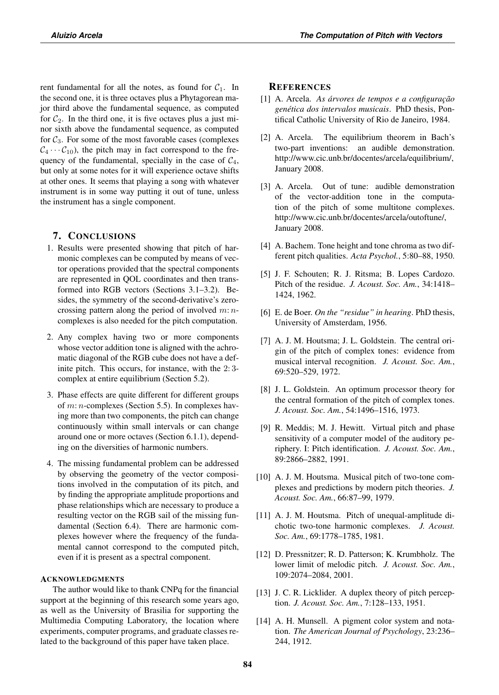rent fundamental for all the notes, as found for  $C_1$ . In the second one, it is three octaves plus a Phytagorean major third above the fundamental sequence, as computed for  $C_2$ . In the third one, it is five octaves plus a just minor sixth above the fundamental sequence, as computed for  $C_3$ . For some of the most favorable cases (complexes  $C_4 \cdots C_{10}$ , the pitch may in fact correspond to the frequency of the fundamental, specially in the case of  $C_4$ , but only at some notes for it will experience octave shifts at other ones. It seems that playing a song with whatever instrument is in some way putting it out of tune, unless the instrument has a single component.

# 7. CONCLUSIONS

- 1. Results were presented showing that pitch of harmonic complexes can be computed by means of vector operations provided that the spectral components are represented in QOL coordinates and then transformed into RGB vectors (Sections 3.1–3.2). Besides, the symmetry of the second-derivative's zerocrossing pattern along the period of involved  $m: n$ complexes is also needed for the pitch computation.
- 2. Any complex having two or more components whose vector addition tone is aligned with the achromatic diagonal of the RGB cube does not have a definite pitch. This occurs, for instance, with the 2: 3 complex at entire equilibrium (Section 5.2).
- 3. Phase effects are quite different for different groups of  $m: n$ -complexes (Section 5.5). In complexes having more than two components, the pitch can change continuously within small intervals or can change around one or more octaves (Section 6.1.1), depending on the diversities of harmonic numbers.
- 4. The missing fundamental problem can be addressed by observing the geometry of the vector compositions involved in the computation of its pitch, and by finding the appropriate amplitude proportions and phase relationships which are necessary to produce a resulting vector on the RGB sail of the missing fundamental (Section 6.4). There are harmonic complexes however where the frequency of the fundamental cannot correspond to the computed pitch, even if it is present as a spectral component.

## ACKNOWLEDGMENTS

The author would like to thank CNPq for the financial support at the beginning of this research some years ago, as well as the University of Brasilia for supporting the Multimedia Computing Laboratory, the location where experiments, computer programs, and graduate classes related to the background of this paper have taken place.

## **REFERENCES**

- [1] A. Arcela. *As árvores de tempos e a configuração genética dos intervalos musicais*. PhD thesis, Pontifical Catholic University of Rio de Janeiro, 1984.
- [2] A. Arcela. The equilibrium theorem in Bach's two-part inventions: an audible demonstration. http://www.cic.unb.br/docentes/arcela/equilibrium/, January 2008.
- [3] A. Arcela. Out of tune: audible demonstration of the vector-addition tone in the computation of the pitch of some multitone complexes. http://www.cic.unb.br/docentes/arcela/outoftune/, January 2008.
- [4] A. Bachem. Tone height and tone chroma as two different pitch qualities. *Acta Psychol.*, 5:80–88, 1950.
- [5] J. F. Schouten; R. J. Ritsma; B. Lopes Cardozo. Pitch of the residue. *J. Acoust. Soc. Am.*, 34:1418– 1424, 1962.
- [6] E. de Boer. *On the "residue" in hearing*. PhD thesis, University of Amsterdam, 1956.
- [7] A. J. M. Houtsma; J. L. Goldstein. The central origin of the pitch of complex tones: evidence from musical interval recognition. *J. Acoust. Soc. Am.*, 69:520–529, 1972.
- [8] J. L. Goldstein. An optimum processor theory for the central formation of the pitch of complex tones. *J. Acoust. Soc. Am.*, 54:1496–1516, 1973.
- [9] R. Meddis; M. J. Hewitt. Virtual pitch and phase sensitivity of a computer model of the auditory periphery. I: Pitch identification. *J. Acoust. Soc. Am.*, 89:2866–2882, 1991.
- [10] A. J. M. Houtsma. Musical pitch of two-tone complexes and predictions by modern pitch theories. *J. Acoust. Soc. Am.*, 66:87–99, 1979.
- [11] A. J. M. Houtsma. Pitch of unequal-amplitude dichotic two-tone harmonic complexes. *J. Acoust. Soc. Am.*, 69:1778–1785, 1981.
- [12] D. Pressnitzer; R. D. Patterson; K. Krumbholz. The lower limit of melodic pitch. *J. Acoust. Soc. Am.*, 109:2074–2084, 2001.
- [13] J. C. R. Licklider. A duplex theory of pitch perception. *J. Acoust. Soc. Am.*, 7:128–133, 1951.
- [14] A. H. Munsell. A pigment color system and notation. *The American Journal of Psychology*, 23:236– 244, 1912.